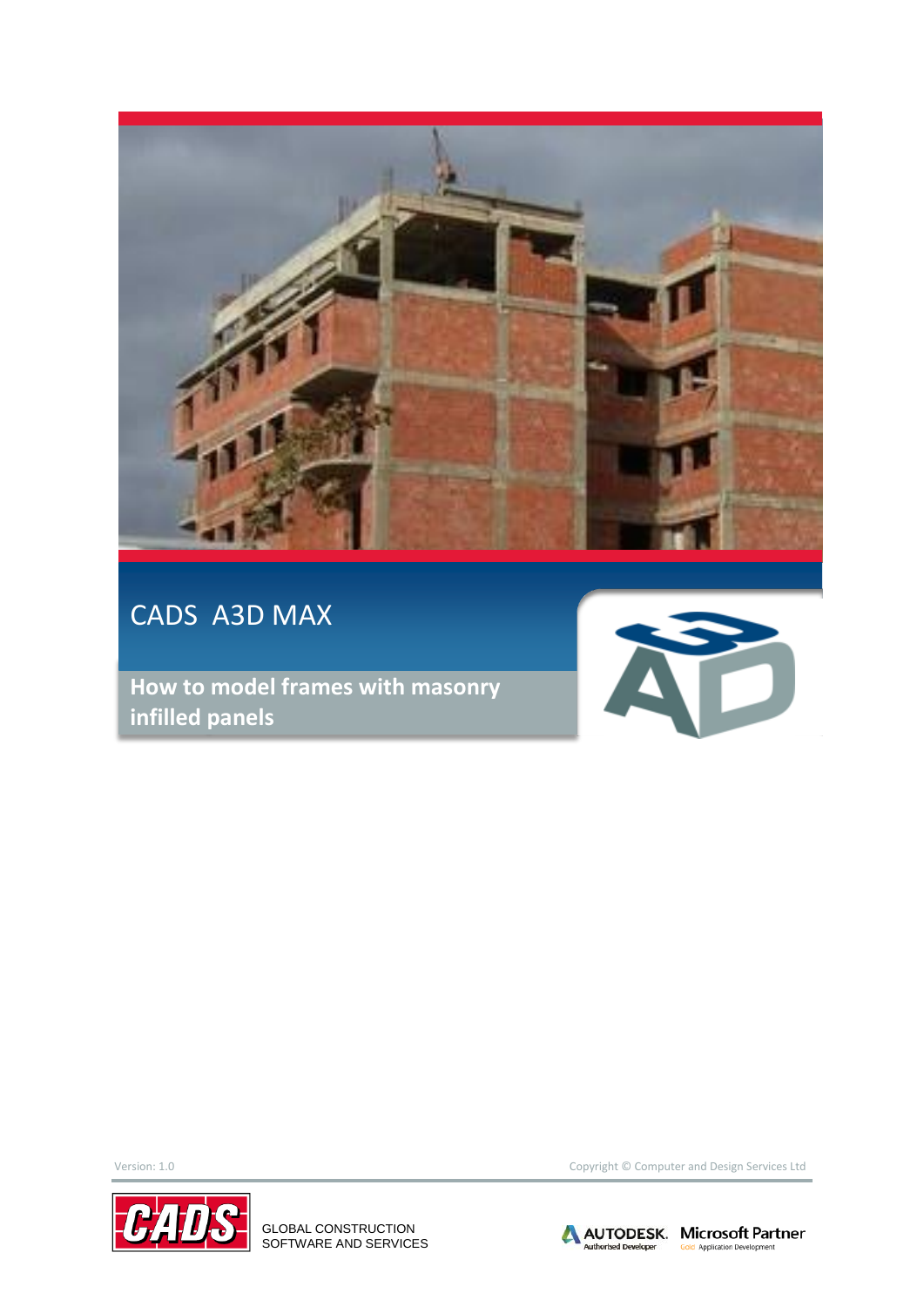

## CADS A3D MAX

**How to model frames with masonry infilled panels**





GLOBAL CONSTRUCTION SOFTWARE AND SERVICES

Version: 1.0 Copyright © Computer and Design Services Ltd

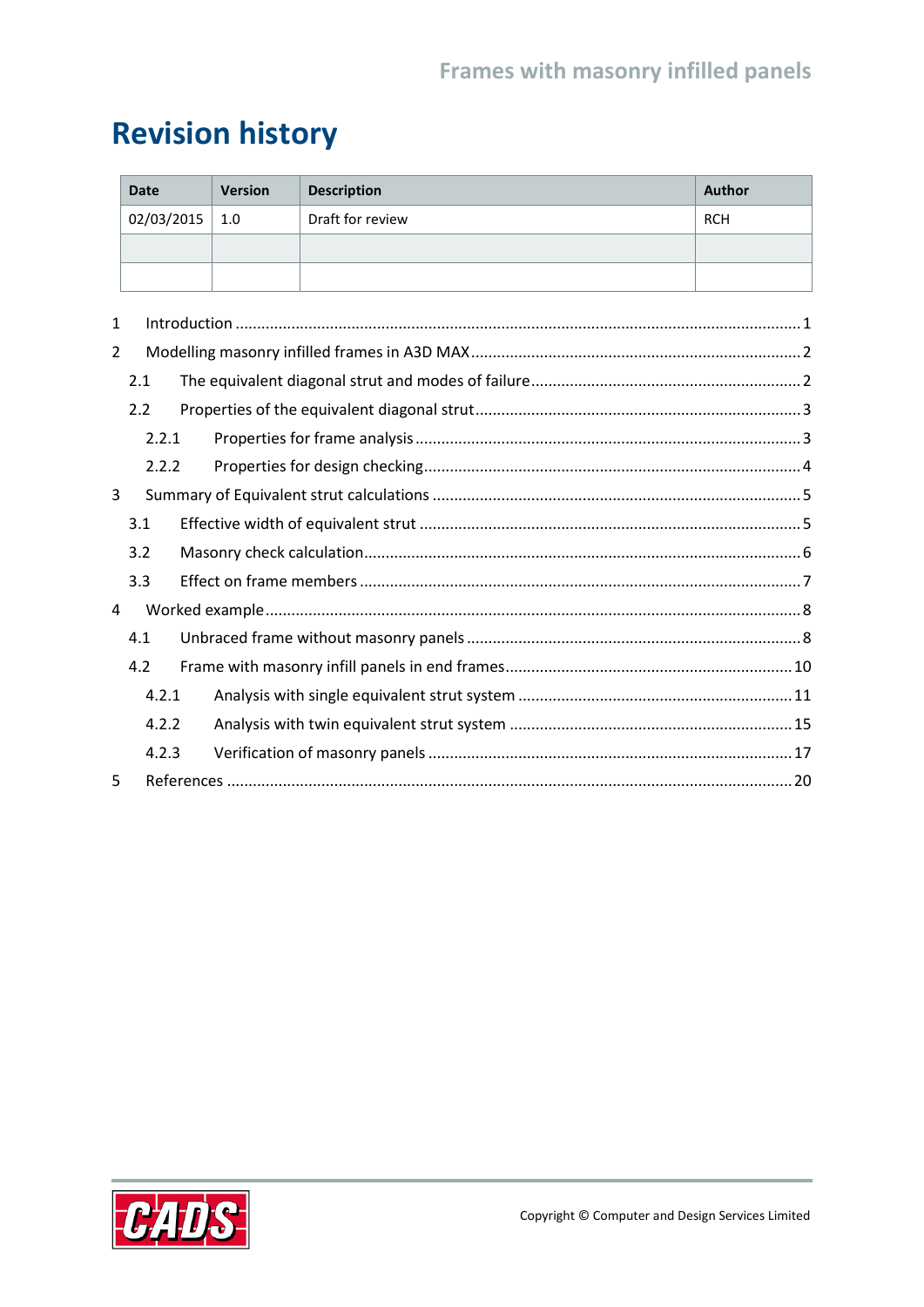# **Revision history**

| <b>Date</b> | <b>Version</b> | <b>Description</b> | Author     |
|-------------|----------------|--------------------|------------|
| 02/03/2015  | 1.0            | Draft for review   | <b>RCH</b> |
|             |                |                    |            |
|             |                |                    |            |

| 1              |       |  |  |  |  |  |  |  |  |
|----------------|-------|--|--|--|--|--|--|--|--|
| $\overline{2}$ |       |  |  |  |  |  |  |  |  |
|                | 2.1   |  |  |  |  |  |  |  |  |
|                | 2.2   |  |  |  |  |  |  |  |  |
|                | 2.2.1 |  |  |  |  |  |  |  |  |
|                | 2.2.2 |  |  |  |  |  |  |  |  |
| 3              |       |  |  |  |  |  |  |  |  |
|                | 3.1   |  |  |  |  |  |  |  |  |
|                | 3.2   |  |  |  |  |  |  |  |  |
|                | 3.3   |  |  |  |  |  |  |  |  |
| 4              |       |  |  |  |  |  |  |  |  |
|                | 4.1   |  |  |  |  |  |  |  |  |
|                | 4.2   |  |  |  |  |  |  |  |  |
|                | 4.2.1 |  |  |  |  |  |  |  |  |
|                | 4.2.2 |  |  |  |  |  |  |  |  |
|                | 4.2.3 |  |  |  |  |  |  |  |  |
| 5              |       |  |  |  |  |  |  |  |  |

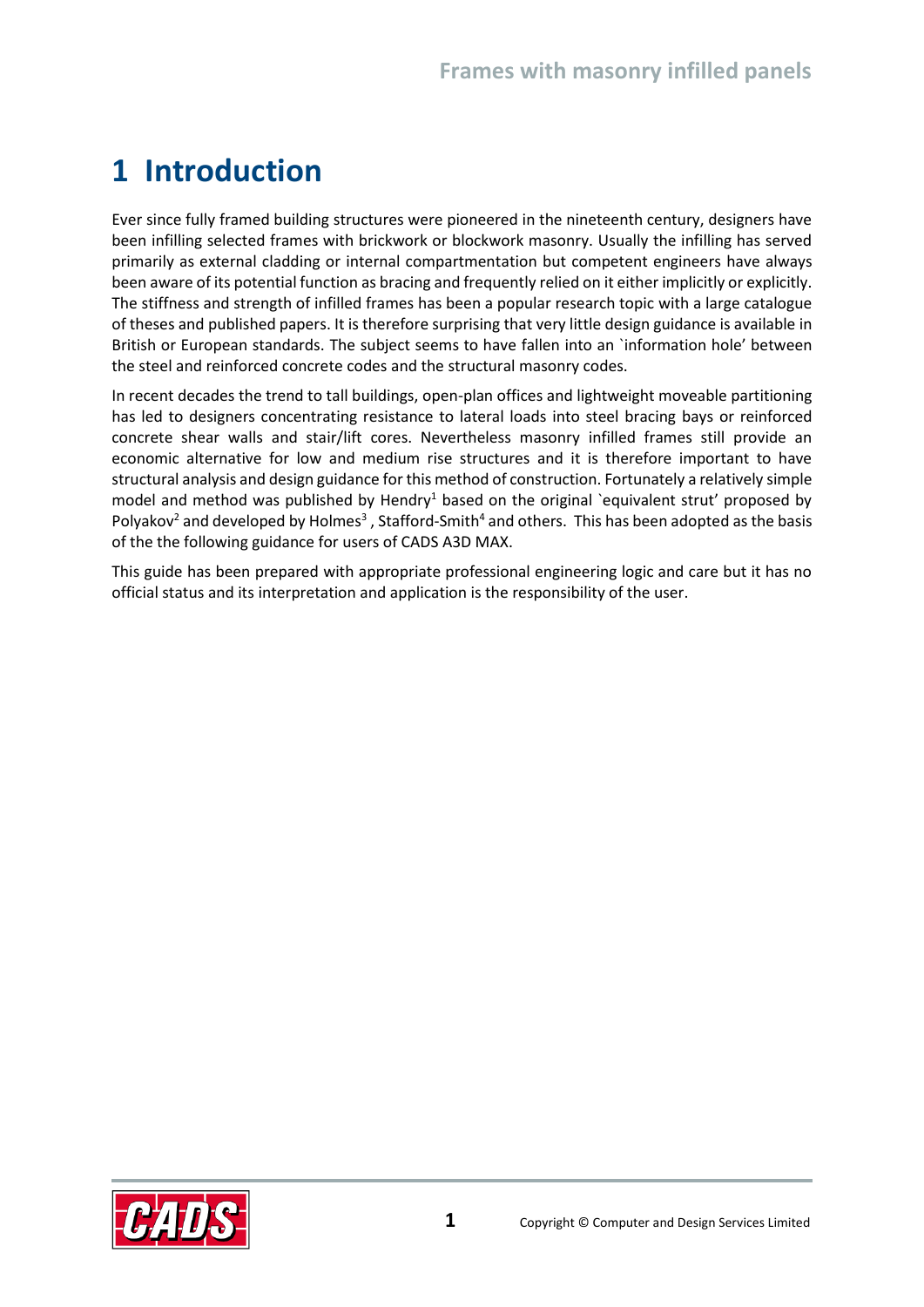## <span id="page-2-0"></span>**1 Introduction**

Ever since fully framed building structures were pioneered in the nineteenth century, designers have been infilling selected frames with brickwork or blockwork masonry. Usually the infilling has served primarily as external cladding or internal compartmentation but competent engineers have always been aware of its potential function as bracing and frequently relied on it either implicitly or explicitly. The stiffness and strength of infilled frames has been a popular research topic with a large catalogue of theses and published papers. It is therefore surprising that very little design guidance is available in British or European standards. The subject seems to have fallen into an `information hole' between the steel and reinforced concrete codes and the structural masonry codes.

In recent decades the trend to tall buildings, open-plan offices and lightweight moveable partitioning has led to designers concentrating resistance to lateral loads into steel bracing bays or reinforced concrete shear walls and stair/lift cores. Nevertheless masonry infilled frames still provide an economic alternative for low and medium rise structures and it is therefore important to have structural analysis and design guidance for this method of construction. Fortunately a relatively simple model and method was published by Hendry<sup>1</sup> based on the original `equivalent strut' proposed by Polyakov<sup>2</sup> and developed by Holmes<sup>3</sup>, Stafford-Smith<sup>4</sup> and others. This has been adopted as the basis of the the following guidance for users of CADS A3D MAX.

This guide has been prepared with appropriate professional engineering logic and care but it has no official status and its interpretation and application is the responsibility of the user.

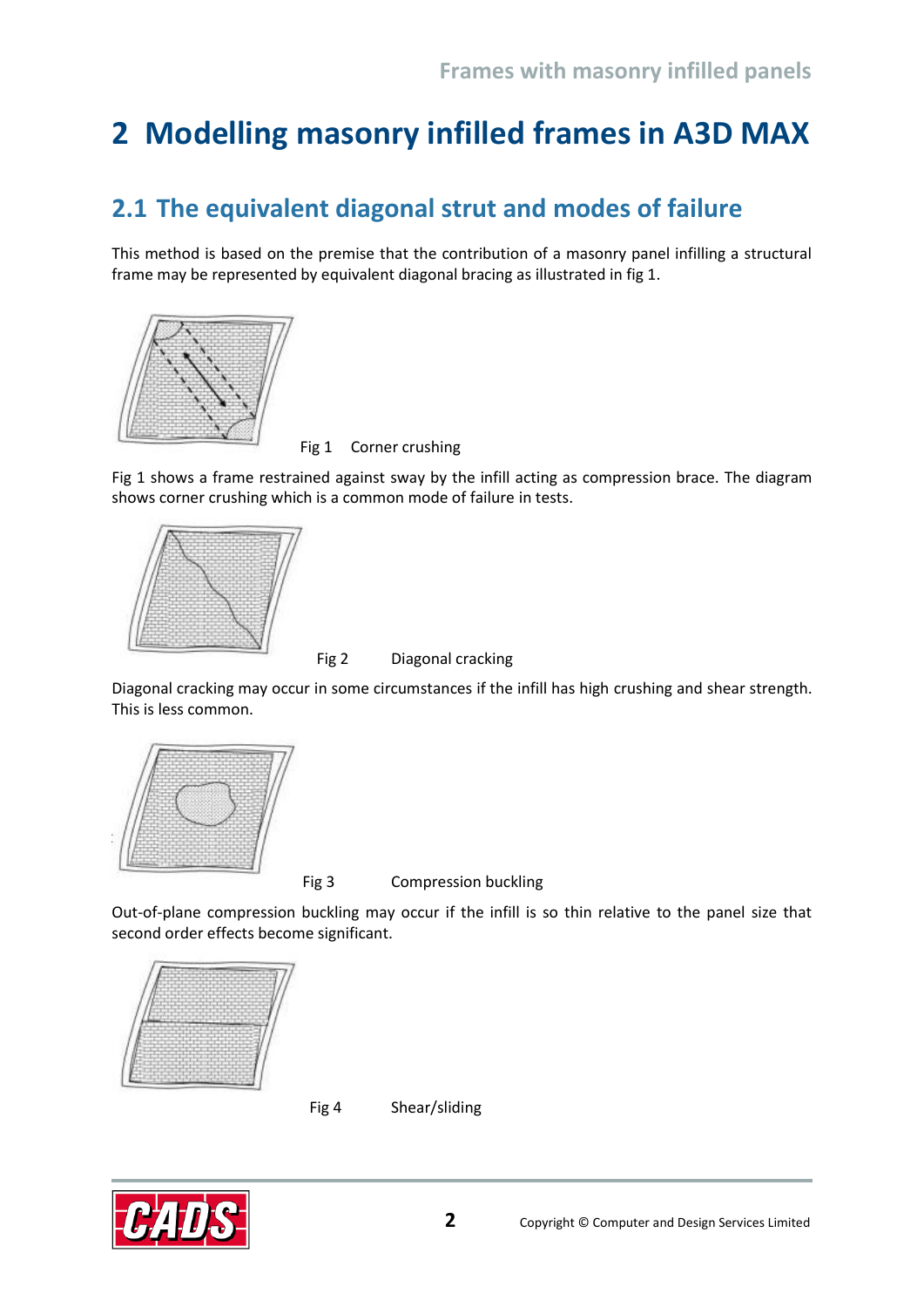# <span id="page-3-0"></span>**2 Modelling masonry infilled frames in A3D MAX**

## <span id="page-3-1"></span>**2.1 The equivalent diagonal strut and modes of failure**

This method is based on the premise that the contribution of a masonry panel infilling a structural frame may be represented by equivalent diagonal bracing as illustrated in fig 1.



Fig 1 Corner crushing

Fig 1 shows a frame restrained against sway by the infill acting as compression brace. The diagram shows corner crushing which is a common mode of failure in tests.



Fig 2 Diagonal cracking

Diagonal cracking may occur in some circumstances if the infill has high crushing and shear strength. This is less common.



Fig 3 Compression buckling

Out-of-plane compression buckling may occur if the infill is so thin relative to the panel size that second order effects become significant.



Fig 4 Shear/sliding

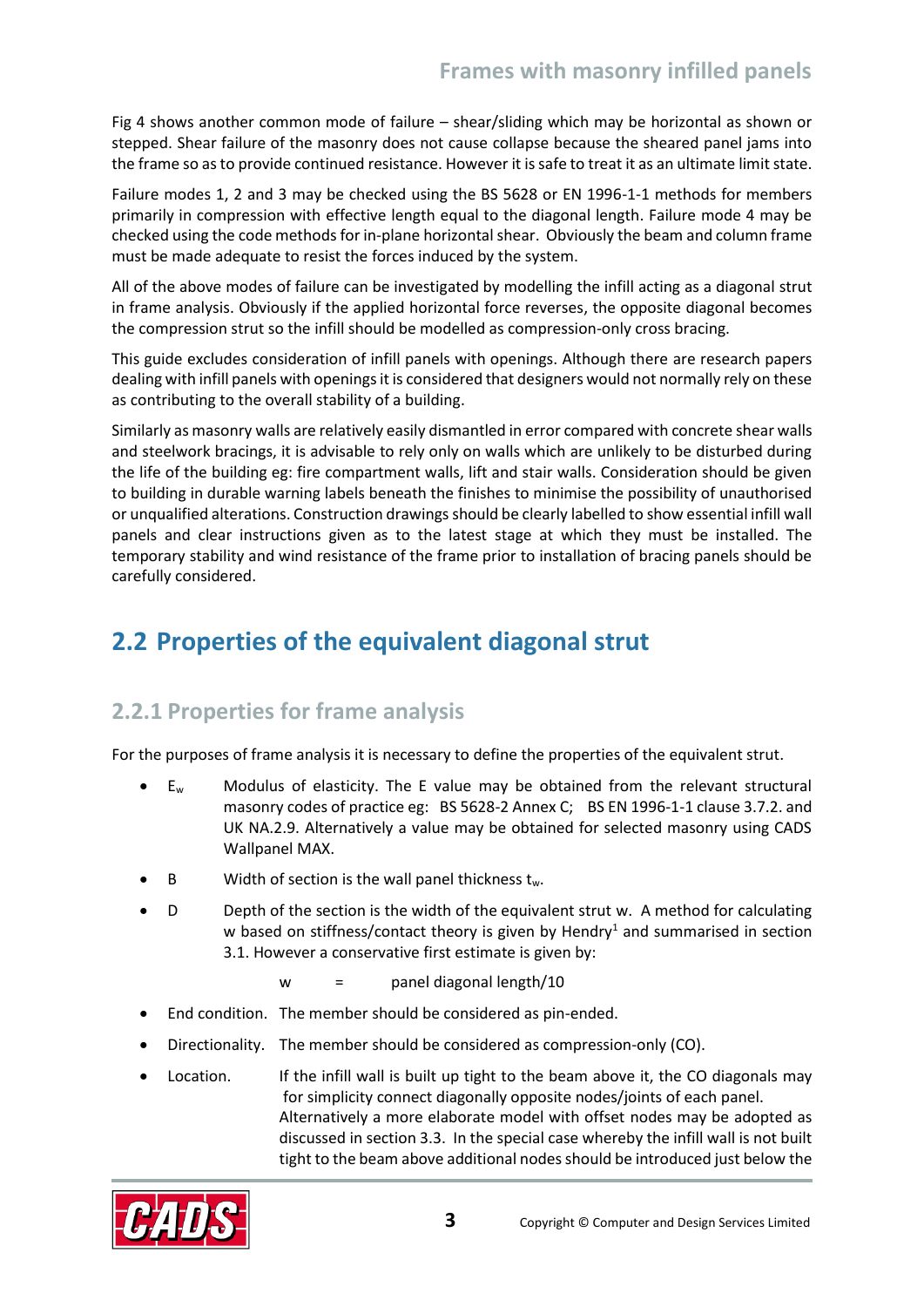Fig 4 shows another common mode of failure – shear/sliding which may be horizontal as shown or stepped. Shear failure of the masonry does not cause collapse because the sheared panel jams into the frame so as to provide continued resistance. However it is safe to treat it as an ultimate limit state.

Failure modes 1, 2 and 3 may be checked using the BS 5628 or EN 1996-1-1 methods for members primarily in compression with effective length equal to the diagonal length. Failure mode 4 may be checked using the code methods for in-plane horizontal shear. Obviously the beam and column frame must be made adequate to resist the forces induced by the system.

All of the above modes of failure can be investigated by modelling the infill acting as a diagonal strut in frame analysis. Obviously if the applied horizontal force reverses, the opposite diagonal becomes the compression strut so the infill should be modelled as compression-only cross bracing.

This guide excludes consideration of infill panels with openings. Although there are research papers dealing with infill panels with openings it is considered that designers would not normally rely on these as contributing to the overall stability of a building.

Similarly as masonry walls are relatively easily dismantled in error compared with concrete shear walls and steelwork bracings, it is advisable to rely only on walls which are unlikely to be disturbed during the life of the building eg: fire compartment walls, lift and stair walls. Consideration should be given to building in durable warning labels beneath the finishes to minimise the possibility of unauthorised or unqualified alterations. Construction drawings should be clearly labelled to show essential infill wall panels and clear instructions given as to the latest stage at which they must be installed. The temporary stability and wind resistance of the frame prior to installation of bracing panels should be carefully considered.

## <span id="page-4-0"></span>**2.2 Properties of the equivalent diagonal strut**

#### <span id="page-4-1"></span>**2.2.1 Properties for frame analysis**

For the purposes of frame analysis it is necessary to define the properties of the equivalent strut.

- $E_w$  Modulus of elasticity. The E value may be obtained from the relevant structural masonry codes of practice eg: BS 5628-2 Annex C; BS EN 1996-1-1 clause 3.7.2. and UK NA.2.9. Alternatively a value may be obtained for selected masonry using CADS Wallpanel MAX.
- B Width of section is the wall panel thickness  $t_w$ .
- D Depth of the section is the width of the equivalent strut w. A method for calculating w based on stiffness/contact theory is given by Hendry<sup>1</sup> and summarised in section 3.1. However a conservative first estimate is given by:
	- w = panel diagonal length/10
- End condition. The member should be considered as pin-ended.
- Directionality. The member should be considered as compression-only (CO).
- Location. If the infill wall is built up tight to the beam above it, the CO diagonals may for simplicity connect diagonally opposite nodes/joints of each panel. Alternatively a more elaborate model with offset nodes may be adopted as discussed in section 3.3. In the special case whereby the infill wall is not built tight to the beam above additional nodes should be introduced just below the

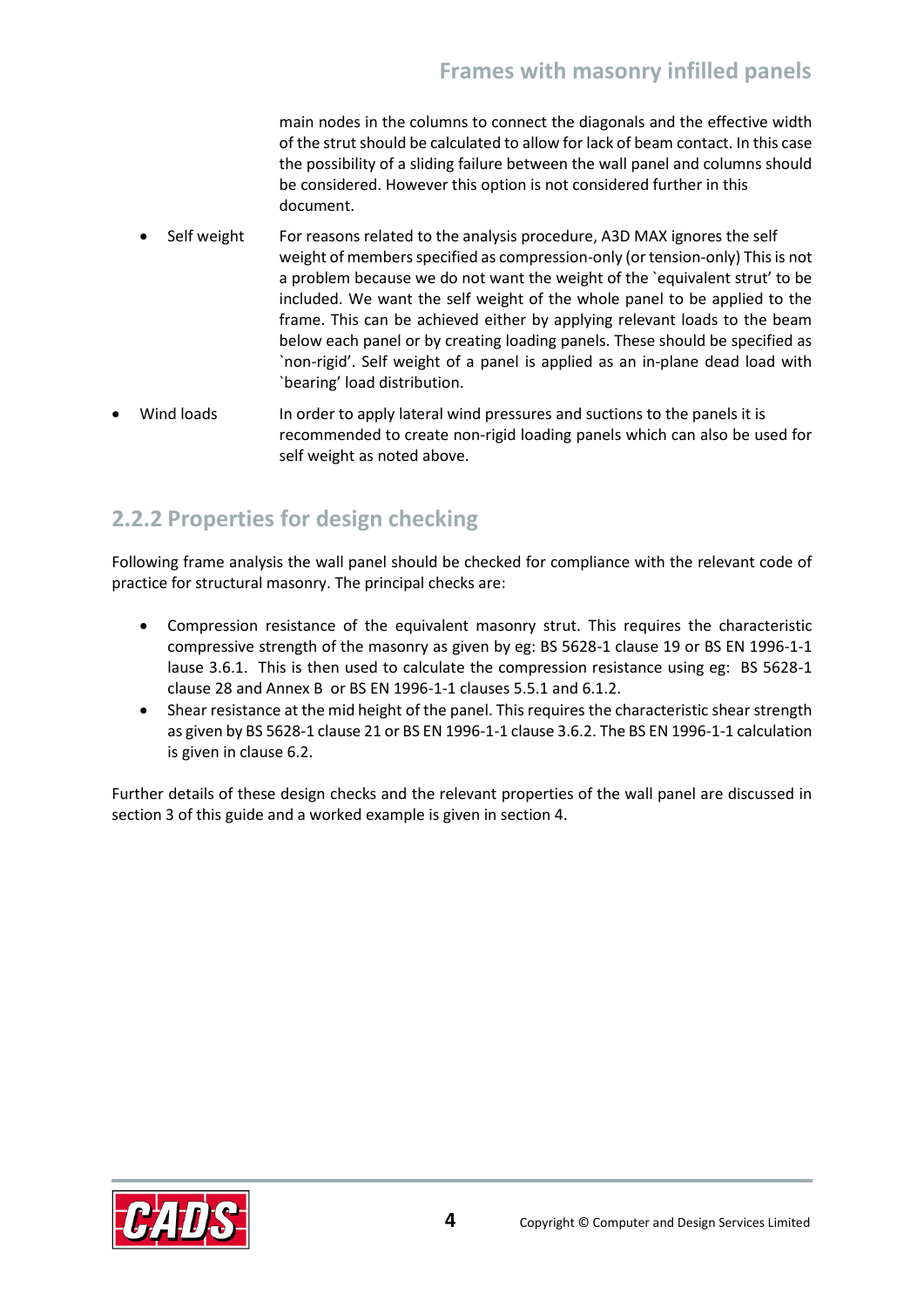main nodes in the columns to connect the diagonals and the effective width of the strut should be calculated to allow for lack of beam contact. In this case the possibility of a sliding failure between the wall panel and columns should be considered. However this option is not considered further in this document.

- Self weight For reasons related to the analysis procedure, A3D MAX ignores the self weight of members specified as compression-only (or tension-only) This is not a problem because we do not want the weight of the `equivalent strut' to be included. We want the self weight of the whole panel to be applied to the frame. This can be achieved either by applying relevant loads to the beam below each panel or by creating loading panels. These should be specified as `non-rigid'. Self weight of a panel is applied as an in-plane dead load with `bearing' load distribution.
- Wind loads In order to apply lateral wind pressures and suctions to the panels it is recommended to create non-rigid loading panels which can also be used for self weight as noted above.

### <span id="page-5-0"></span>**2.2.2 Properties for design checking**

Following frame analysis the wall panel should be checked for compliance with the relevant code of practice for structural masonry. The principal checks are:

- Compression resistance of the equivalent masonry strut. This requires the characteristic compressive strength of the masonry as given by eg: BS 5628-1 clause 19 or BS EN 1996-1-1 lause 3.6.1. This is then used to calculate the compression resistance using eg: BS 5628-1 clause 28 and Annex B or BS EN 1996-1-1 clauses 5.5.1 and 6.1.2.
- Shear resistance at the mid height of the panel. This requires the characteristic shear strength as given by BS 5628-1 clause 21 or BS EN 1996-1-1 clause 3.6.2. The BS EN 1996-1-1 calculation is given in clause 6.2.

Further details of these design checks and the relevant properties of the wall panel are discussed in section 3 of this guide and a worked example is given in section 4.

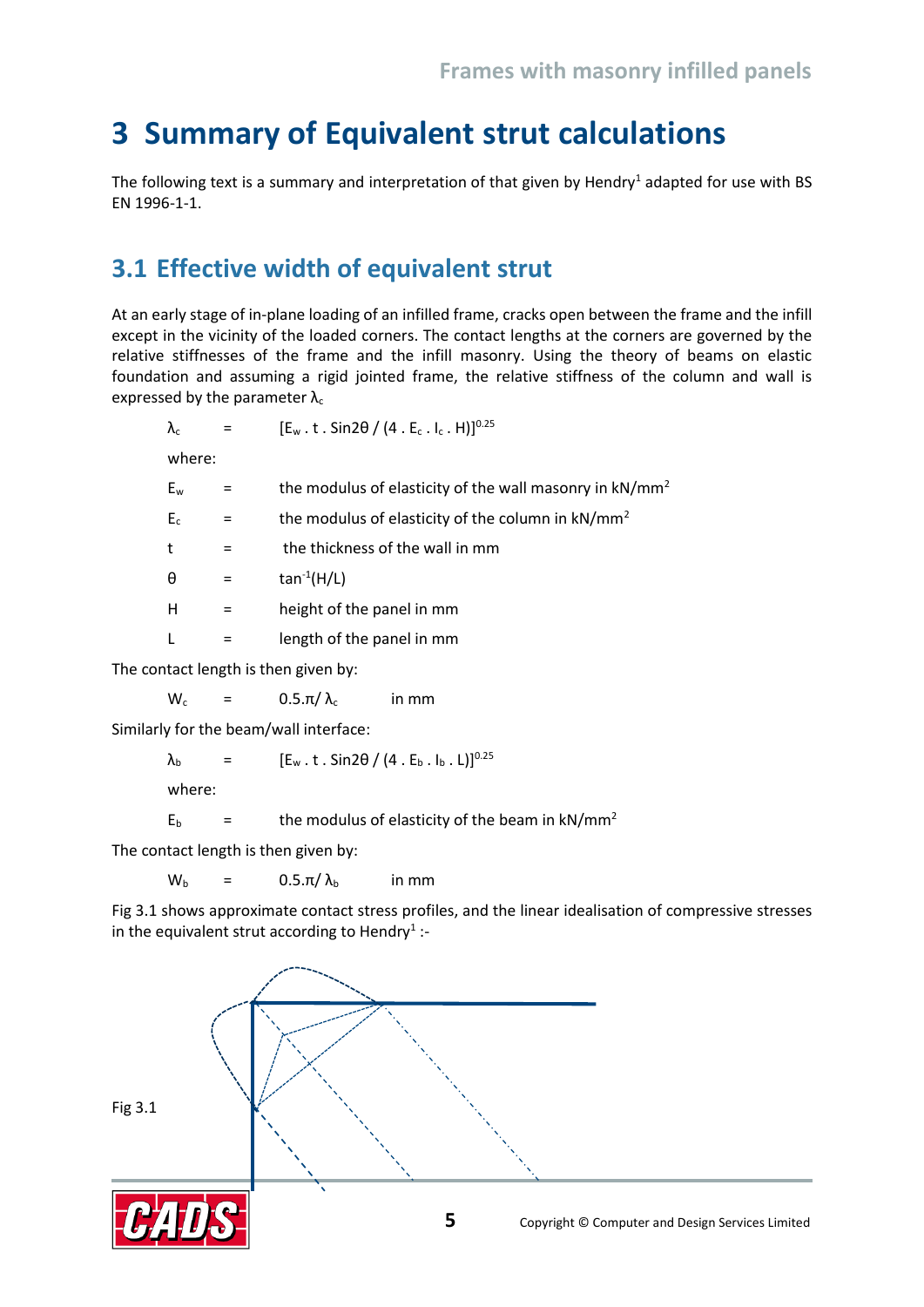## <span id="page-6-0"></span>**3 Summary of Equivalent strut calculations**

The following text is a summary and interpretation of that given by Hendry<sup>1</sup> adapted for use with BS EN 1996-1-1.

### <span id="page-6-1"></span>**3.1 Effective width of equivalent strut**

At an early stage of in-plane loading of an infilled frame, cracks open between the frame and the infill except in the vicinity of the loaded corners. The contact lengths at the corners are governed by the relative stiffnesses of the frame and the infill masonry. Using the theory of beams on elastic foundation and assuming a rigid jointed frame, the relative stiffness of the column and wall is expressed by the parameter  $\lambda_c$ 

| $\lambda_c$ |          | $[E_w \tcdot t \tcdot Sin2\theta / (4 \tcdot E_c \tcdot I_c \tcdot H)]^{0.25}$ |
|-------------|----------|--------------------------------------------------------------------------------|
| where:      |          |                                                                                |
| $E_w$       |          | the modulus of elasticity of the wall masonry in kN/mm <sup>2</sup>            |
| $E_c$       | $\equiv$ | the modulus of elasticity of the column in kN/mm <sup>2</sup>                  |
| t           | $=$      | the thickness of the wall in mm                                                |
| θ           | $=$      | $tan^{-1}(H/L)$                                                                |
| н           | $=$      | height of the panel in mm                                                      |
|             |          | length of the panel in mm                                                      |
|             |          | المنادما المناصبات والمستحدث والقطاع والمالقة والقادمة                         |

The contact length is then given by:

 $W_c$  = 0.5. $\pi/\lambda_c$  in mm

Similarly for the beam/wall interface:

 $λ<sub>b</sub> = [E<sub>w</sub> . t . Sin2θ / (4 . E<sub>b</sub> . I<sub>b</sub> . L)]<sup>0.25</sup>$ 

where:

 $E<sub>b</sub>$  = the modulus of elasticity of the beam in kN/mm<sup>2</sup>

The contact length is then given by:

 $W_b$  = 0.5.π/ $\lambda_b$  in mm

Fig 3.1 shows approximate contact stress profiles, and the linear idealisation of compressive stresses in the equivalent strut according to Hendry<sup>1</sup>:-

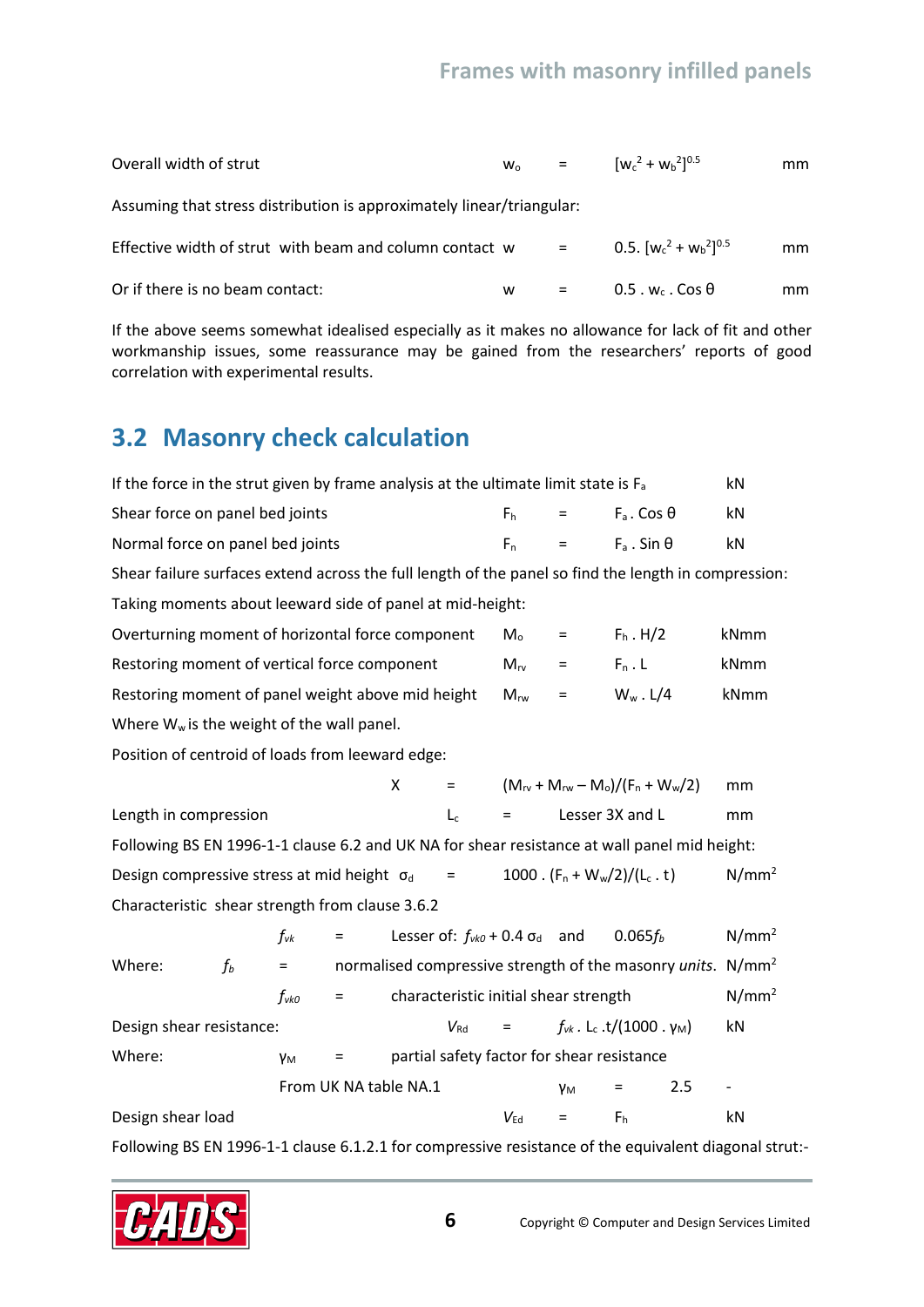| Overall width of strut                                                | $W_0$ | $\mathbf{r} = \mathbf{r}$ | $[W_c^2 + W_b^2]^{0.5}$           | mm |
|-----------------------------------------------------------------------|-------|---------------------------|-----------------------------------|----|
| Assuming that stress distribution is approximately linear/triangular: |       |                           |                                   |    |
| Effective width of strut with beam and column contact w               |       | $=$ $-$                   | 0.5. $[w_c^2 + w_b^2]^{0.5}$      | mm |
| Or if there is no beam contact:                                       | w     | $=$                       | $0.5 \cdot w_c \cdot \cos \theta$ | mm |

If the above seems somewhat idealised especially as it makes no allowance for lack of fit and other workmanship issues, some reassurance may be gained from the researchers' reports of good correlation with experimental results.

## <span id="page-7-0"></span>**3.2 Masonry check calculation**

| If the force in the strut given by frame analysis at the ultimate limit state is $F_a$               |       |                            |                       |   |                                              |                           |                                       |                                                                                  |     | kN                                                                      |
|------------------------------------------------------------------------------------------------------|-------|----------------------------|-----------------------|---|----------------------------------------------|---------------------------|---------------------------------------|----------------------------------------------------------------------------------|-----|-------------------------------------------------------------------------|
| Shear force on panel bed joints                                                                      |       |                            |                       |   |                                              | F <sub>h</sub>            | $=$                                   | $F_a$ . Cos $\theta$                                                             |     | kN                                                                      |
| Normal force on panel bed joints                                                                     |       |                            |                       |   |                                              | $F_n$                     | $=$                                   | $F_a$ . Sin $\theta$                                                             |     | kN                                                                      |
| Shear failure surfaces extend across the full length of the panel so find the length in compression: |       |                            |                       |   |                                              |                           |                                       |                                                                                  |     |                                                                         |
| Taking moments about leeward side of panel at mid-height:                                            |       |                            |                       |   |                                              |                           |                                       |                                                                                  |     |                                                                         |
| Overturning moment of horizontal force component                                                     |       |                            |                       |   |                                              | $\mathsf{M}_{\mathsf{o}}$ | $=$                                   | $F_h$ . H/2                                                                      |     | kNmm                                                                    |
| Restoring moment of vertical force component                                                         |       |                            |                       |   |                                              | $M_{\rm rv}$              | $=$                                   | $F_n$ . L                                                                        |     | kNmm                                                                    |
| Restoring moment of panel weight above mid height                                                    |       |                            |                       |   |                                              | $M_{rw}$                  | $=$                                   | $W_w$ . L/4                                                                      |     | kNmm                                                                    |
| Where $W_w$ is the weight of the wall panel.                                                         |       |                            |                       |   |                                              |                           |                                       |                                                                                  |     |                                                                         |
| Position of centroid of loads from leeward edge:                                                     |       |                            |                       |   |                                              |                           |                                       |                                                                                  |     |                                                                         |
|                                                                                                      |       |                            |                       | X | $=$ $-$                                      |                           |                                       | $(M_{\text{rv}} + M_{\text{rw}} - M_{\text{o}})/(F_{\text{n}} + W_{\text{w}}/2)$ |     | mm                                                                      |
| Length in compression                                                                                |       |                            |                       |   | $L_c$                                        | $=$                       |                                       | Lesser 3X and L                                                                  |     | mm                                                                      |
| Following BS EN 1996-1-1 clause 6.2 and UK NA for shear resistance at wall panel mid height:         |       |                            |                       |   |                                              |                           |                                       |                                                                                  |     |                                                                         |
| Design compressive stress at mid height $\sigma_d$                                                   |       |                            |                       |   | $\equiv$                                     |                           |                                       | 1000. $(F_n + W_w/2)/(L_c \t t)$                                                 |     | N/mm <sup>2</sup>                                                       |
| Characteristic shear strength from clause 3.6.2                                                      |       |                            |                       |   |                                              |                           |                                       |                                                                                  |     |                                                                         |
|                                                                                                      |       | $f_{\mathsf{v}\mathsf{k}}$ | $=$                   |   | Lesser of: $f_{\nu k0}$ + 0.4 $\sigma_d$ and |                           |                                       | $0.065f_{b}$                                                                     |     | $N/mm^2$                                                                |
| Where:                                                                                               | $f_b$ | $=$                        |                       |   |                                              |                           |                                       |                                                                                  |     | normalised compressive strength of the masonry units. N/mm <sup>2</sup> |
|                                                                                                      |       | $f_{\nu k0}$               | $=$                   |   |                                              |                           | characteristic initial shear strength |                                                                                  |     | N/mm <sup>2</sup>                                                       |
| Design shear resistance:                                                                             |       |                            |                       |   | $V_{\rm Rd}$                                 |                           |                                       | $= f_{vk}$ . L <sub>c</sub> .t/(1000. γ <sub>M</sub> )                           |     | kN                                                                      |
| Where:                                                                                               |       | γм                         | Ξ                     |   |                                              |                           |                                       | partial safety factor for shear resistance                                       |     |                                                                         |
|                                                                                                      |       |                            | From UK NA table NA.1 |   |                                              |                           | γм                                    |                                                                                  | 2.5 |                                                                         |
| Design shear load                                                                                    |       |                            |                       |   |                                              | $V_{\sf Ed}$              | $=$                                   | F <sub>h</sub>                                                                   |     | kN                                                                      |

Following BS EN 1996-1-1 clause 6.1.2.1 for compressive resistance of the equivalent diagonal strut:-

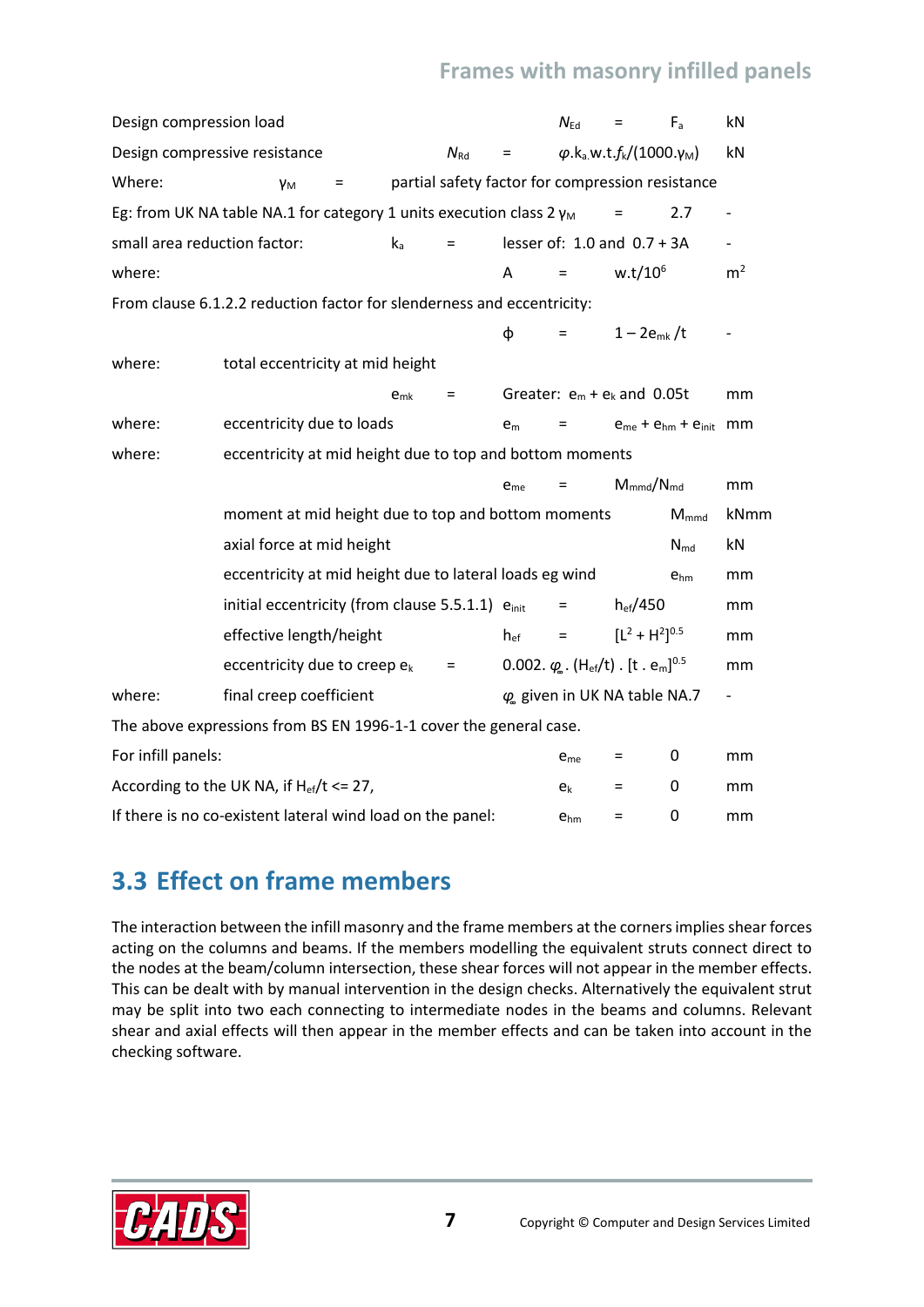| Design compression load                               |                                                                             |          |              |                 | $N_{\rm Ed}$    | $=$                                                                          | $F_a$                        | kN                       |
|-------------------------------------------------------|-----------------------------------------------------------------------------|----------|--------------|-----------------|-----------------|------------------------------------------------------------------------------|------------------------------|--------------------------|
| Design compressive resistance                         |                                                                             |          | $N_{\rm Rd}$ |                 |                 | $\varphi$ .k <sub>a</sub> .w.t.f <sub>k</sub> /(1000.γ <sub>M</sub> )        |                              | kN                       |
| Where:                                                | Yм                                                                          | Ξ        |              |                 |                 | partial safety factor for compression resistance                             |                              |                          |
|                                                       | Eg: from UK NA table NA.1 for category 1 units execution class $2 \gamma_M$ |          |              |                 |                 | =                                                                            | 2.7                          | $\overline{\phantom{0}}$ |
| small area reduction factor:                          |                                                                             | $k_a$    | $=$          |                 |                 | lesser of: $1.0$ and $0.7 + 3A$                                              |                              |                          |
| where:                                                |                                                                             |          |              | A               | $=$             | $w.t/10^6$                                                                   |                              | m <sup>2</sup>           |
|                                                       | From clause 6.1.2.2 reduction factor for slenderness and eccentricity:      |          |              |                 |                 |                                                                              |                              |                          |
|                                                       |                                                                             |          |              | φ               | $=$             | $1 - 2e_{mk}/t$                                                              |                              |                          |
| where:                                                | total eccentricity at mid height                                            |          |              |                 |                 |                                                                              |                              |                          |
|                                                       |                                                                             | $e_{mk}$ | $=$          |                 |                 | Greater: $e_m + e_k$ and 0.05t                                               |                              | mm                       |
| where:                                                | eccentricity due to loads                                                   |          |              | e <sub>m</sub>  | Ξ               |                                                                              | $e_{me} + e_{hm} + e_{init}$ | mm                       |
| where:                                                | eccentricity at mid height due to top and bottom moments                    |          |              |                 |                 |                                                                              |                              |                          |
|                                                       |                                                                             |          |              | e <sub>me</sub> | Ξ               | $M_{mmd}/N_{md}$                                                             |                              | mm                       |
|                                                       | moment at mid height due to top and bottom moments                          |          |              |                 |                 |                                                                              | $M_{mmd}$                    | kNmm                     |
|                                                       | axial force at mid height                                                   |          |              |                 |                 |                                                                              | $N_{md}$                     | kN                       |
|                                                       | eccentricity at mid height due to lateral loads eg wind                     |          |              |                 |                 |                                                                              | $e_{hm}$                     | mm                       |
|                                                       | initial eccentricity (from clause 5.5.1.1) einit                            |          |              |                 | $=$             | $h_{ef}/450$                                                                 |                              | mm                       |
|                                                       | effective length/height                                                     |          |              | $h_{ef}$        | $=$             | $[L^2 + H^2]^{0.5}$                                                          |                              | mm                       |
|                                                       | eccentricity due to creep $e_k$                                             |          | $=$          |                 |                 | 0.002. $\varphi$ . (H <sub>ef</sub> /t). [t. e <sub>m</sub> ] <sup>0.5</sup> |                              | mm                       |
| where:                                                | final creep coefficient                                                     |          |              |                 |                 | $\varphi$ given in UK NA table NA.7                                          |                              | $\overline{\phantom{0}}$ |
|                                                       | The above expressions from BS EN 1996-1-1 cover the general case.           |          |              |                 |                 |                                                                              |                              |                          |
| For infill panels:                                    |                                                                             |          |              |                 | e <sub>me</sub> | $=$                                                                          | 0                            | mm                       |
| According to the UK NA, if $H_{\text{ef}}/t \le 27$ , |                                                                             |          |              |                 |                 |                                                                              |                              |                          |
|                                                       |                                                                             |          |              |                 | $e_{k}$         | $=$                                                                          | 0                            | mm                       |

## <span id="page-8-0"></span>**3.3 Effect on frame members**

The interaction between the infill masonry and the frame members at the corners implies shear forces acting on the columns and beams. If the members modelling the equivalent struts connect direct to the nodes at the beam/column intersection, these shear forces will not appear in the member effects. This can be dealt with by manual intervention in the design checks. Alternatively the equivalent strut may be split into two each connecting to intermediate nodes in the beams and columns. Relevant shear and axial effects will then appear in the member effects and can be taken into account in the checking software.

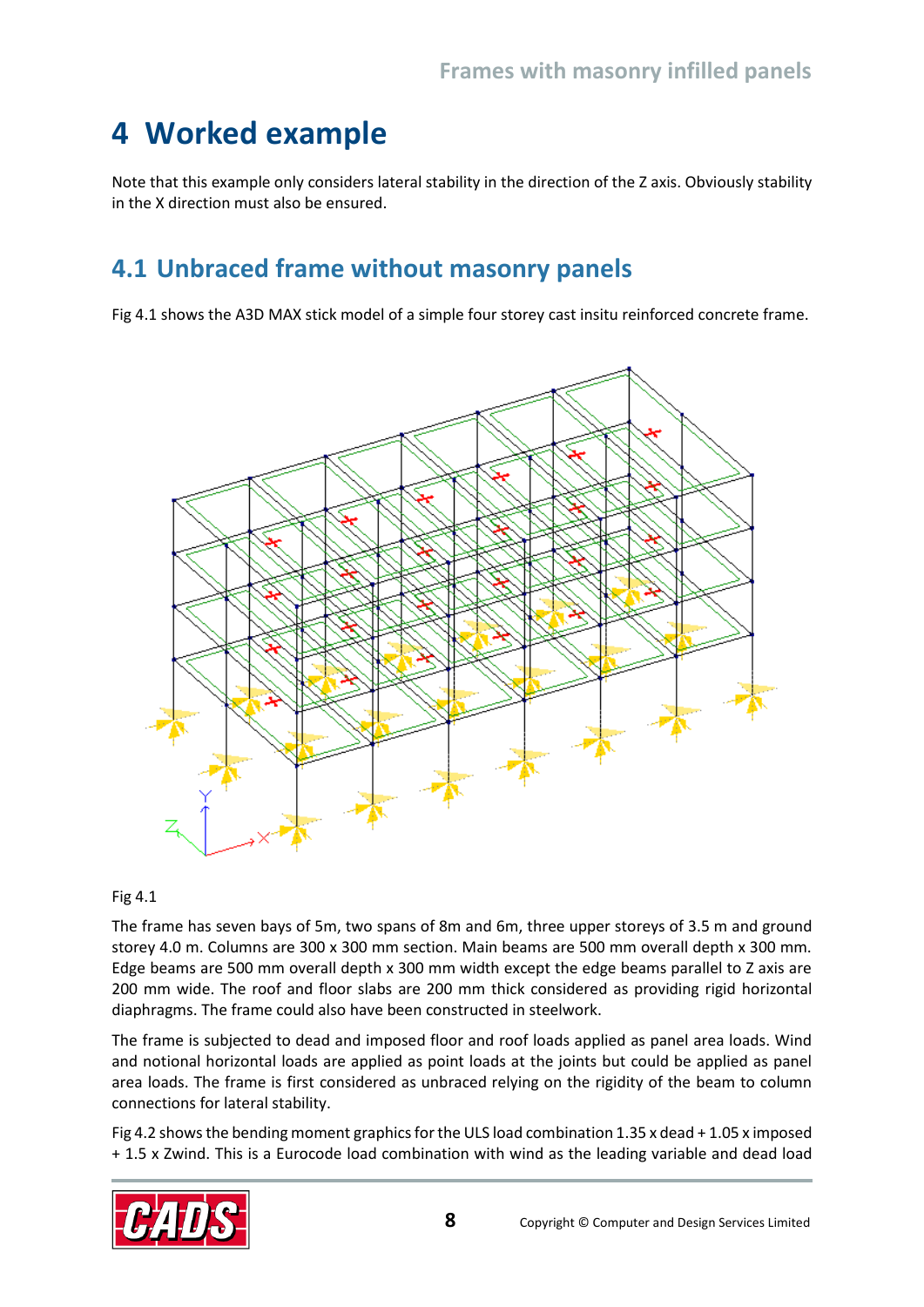## <span id="page-9-0"></span>**4 Worked example**

Note that this example only considers lateral stability in the direction of the Z axis. Obviously stability in the X direction must also be ensured.

## <span id="page-9-1"></span>**4.1 Unbraced frame without masonry panels**

Fig 4.1 shows the A3D MAX stick model of a simple four storey cast insitu reinforced concrete frame.



#### Fig 4.1

The frame has seven bays of 5m, two spans of 8m and 6m, three upper storeys of 3.5 m and ground storey 4.0 m. Columns are 300 x 300 mm section. Main beams are 500 mm overall depth x 300 mm. Edge beams are 500 mm overall depth x 300 mm width except the edge beams parallel to Z axis are 200 mm wide. The roof and floor slabs are 200 mm thick considered as providing rigid horizontal diaphragms. The frame could also have been constructed in steelwork.

The frame is subjected to dead and imposed floor and roof loads applied as panel area loads. Wind and notional horizontal loads are applied as point loads at the joints but could be applied as panel area loads. The frame is first considered as unbraced relying on the rigidity of the beam to column connections for lateral stability.

Fig 4.2 shows the bending moment graphics for the ULS load combination 1.35 x dead + 1.05 x imposed + 1.5 x Zwind. This is a Eurocode load combination with wind as the leading variable and dead load

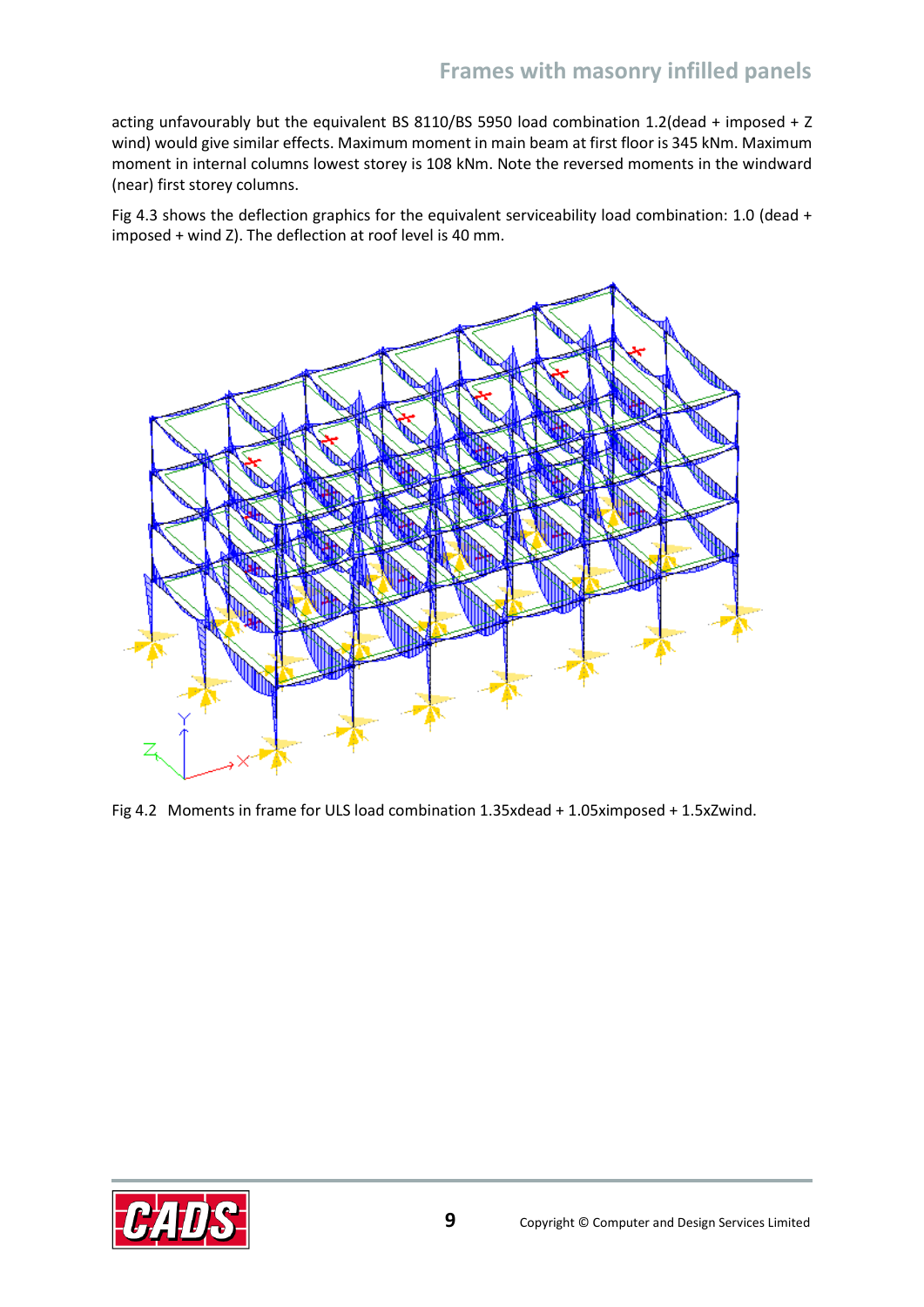acting unfavourably but the equivalent BS 8110/BS 5950 load combination 1.2(dead + imposed + Z wind) would give similar effects. Maximum moment in main beam at first floor is 345 kNm. Maximum moment in internal columns lowest storey is 108 kNm. Note the reversed moments in the windward (near) first storey columns.

Fig 4.3 shows the deflection graphics for the equivalent serviceability load combination: 1.0 (dead + imposed + wind Z). The deflection at roof level is 40 mm.



Fig 4.2 Moments in frame for ULS load combination 1.35xdead + 1.05ximposed + 1.5xZwind.

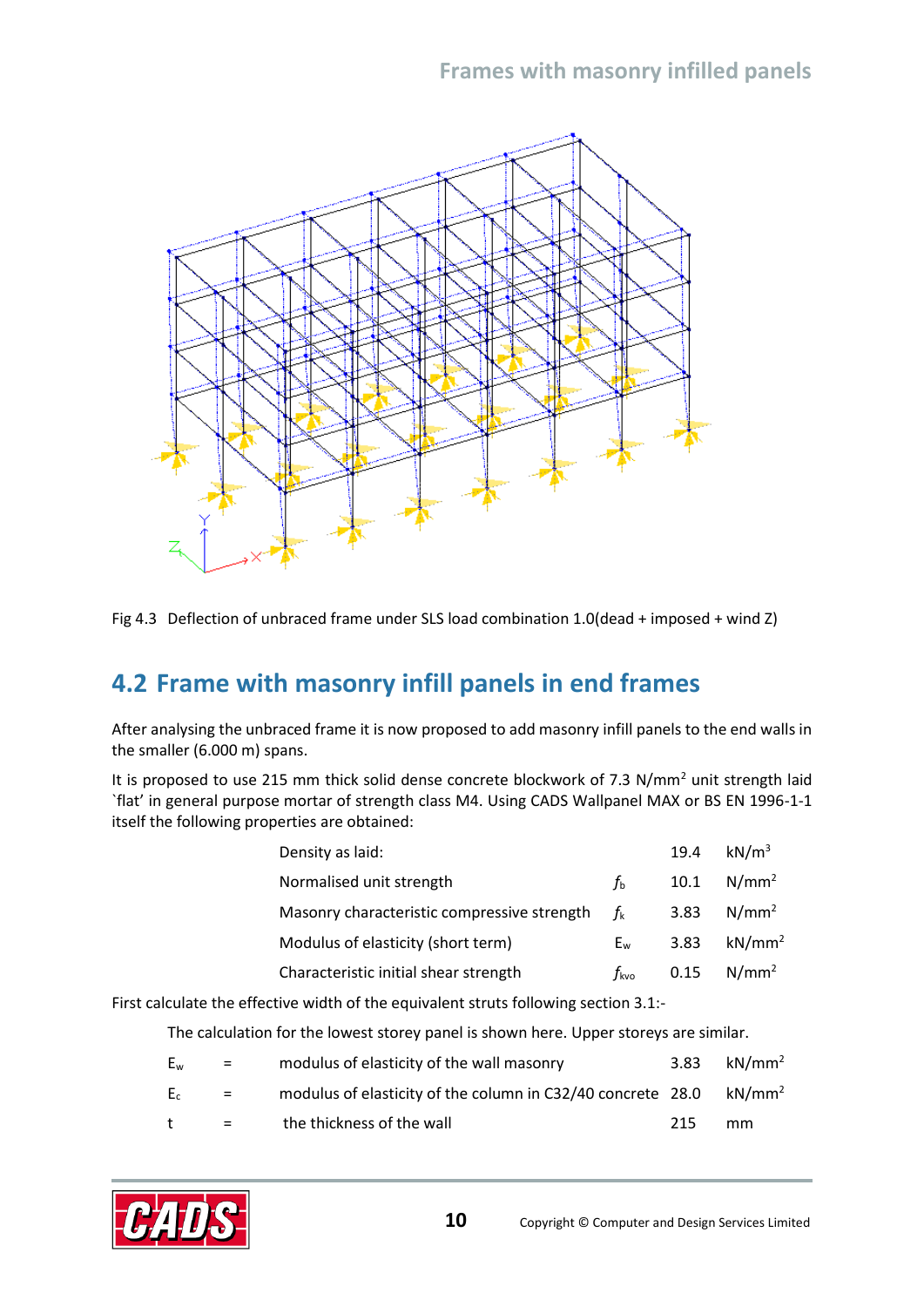

Fig 4.3 Deflection of unbraced frame under SLS load combination 1.0(dead + imposed + wind Z)

## <span id="page-11-0"></span>**4.2 Frame with masonry infill panels in end frames**

After analysing the unbraced frame it is now proposed to add masonry infill panels to the end walls in the smaller (6.000 m) spans.

It is proposed to use 215 mm thick solid dense concrete blockwork of 7.3 N/mm<sup>2</sup> unit strength laid `flat' in general purpose mortar of strength class M4. Using CADS Wallpanel MAX or BS EN 1996-1-1 itself the following properties are obtained:

| Density as laid:                            |                    | 19.4 | kN/m $^3$     |
|---------------------------------------------|--------------------|------|---------------|
| Normalised unit strength                    | $f_{\rm b}$        |      | 10.1 $N/mm^2$ |
| Masonry characteristic compressive strength | $f_{k}$            | 3.83 | $N/mm^2$      |
| Modulus of elasticity (short term)          | $E_{w}$            | 3.83 | $kN/mm^2$     |
| Characteristic initial shear strength       | $f_{\mathsf{kvo}}$ | 0.15 | $N/mm^2$      |

First calculate the effective width of the equivalent struts following section 3.1:-

The calculation for the lowest storey panel is shown here. Upper storeys are similar.

| Ew | $\equiv$ $\equiv$         | modulus of elasticity of the wall masonry                                    | 3.83 | $kN/mm^2$ |
|----|---------------------------|------------------------------------------------------------------------------|------|-----------|
| E. | $\mathbf{r} = \mathbf{r}$ | modulus of elasticity of the column in C32/40 concrete 28.0 $\text{kN/mm}^2$ |      |           |
|    | $\equiv$ $\equiv$         | the thickness of the wall                                                    | 215  | mm        |

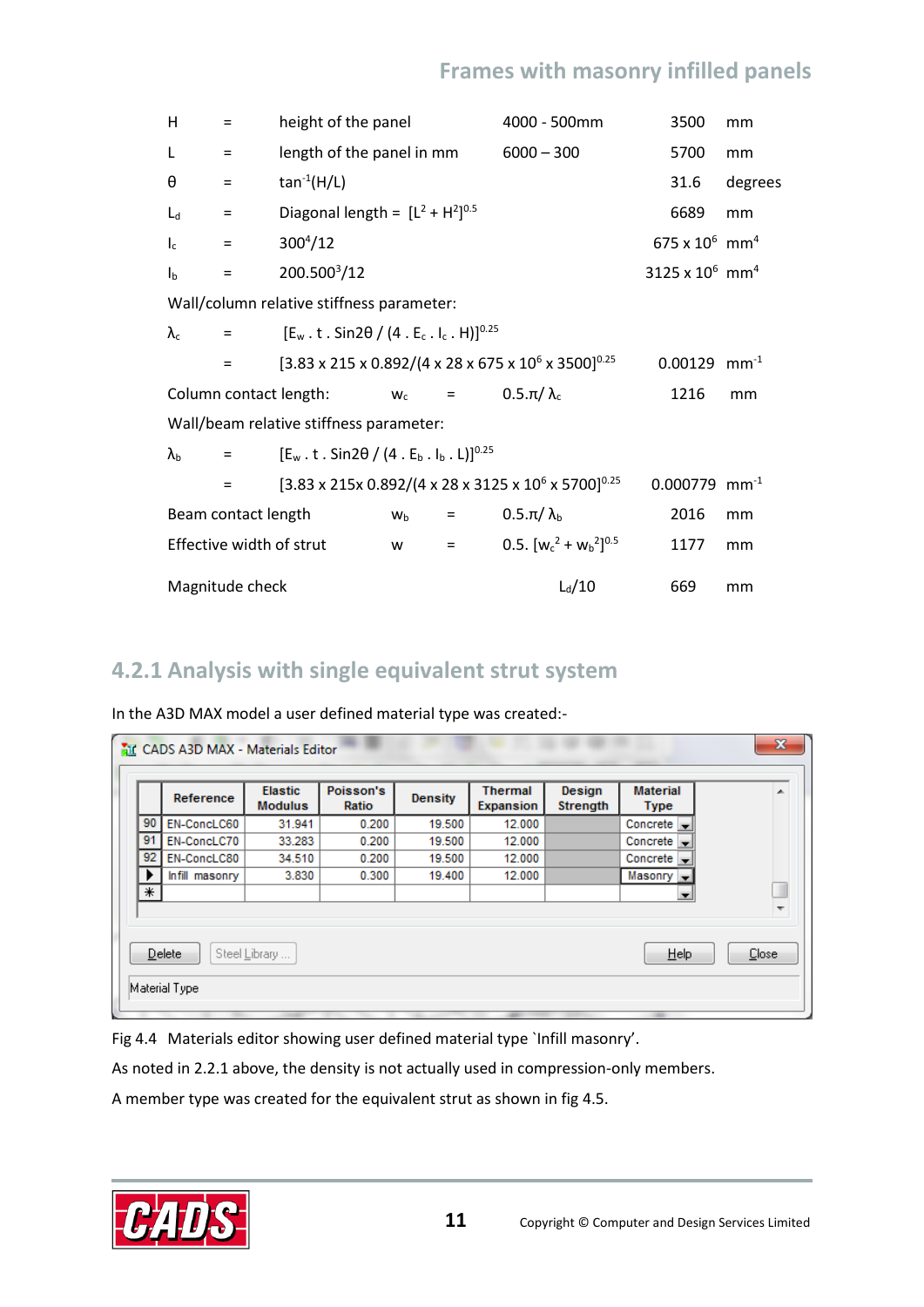| Н                         | Ξ                   | height of the panel                                                            |                |         | 4000 - 500mm                                                                               | 3500                          | mm        |
|---------------------------|---------------------|--------------------------------------------------------------------------------|----------------|---------|--------------------------------------------------------------------------------------------|-------------------------------|-----------|
| L                         | $\equiv$            | length of the panel in mm                                                      |                |         | $6000 - 300$                                                                               | 5700                          | mm        |
| θ                         | $\equiv$            | $tan^{-1}(H/L)$                                                                |                |         |                                                                                            | 31.6                          | degrees   |
| $L_d$                     | $\equiv$            | Diagonal length = $[L^2 + H^2]^{0.5}$                                          |                |         |                                                                                            | 6689                          | mm        |
| $I_c$                     | $\equiv$            | $300^{4}/12$                                                                   |                |         |                                                                                            | 675 x $10^6$ mm <sup>4</sup>  |           |
| $\mathsf{I}_{\mathsf{b}}$ | $=$                 | 200.500 <sup>3</sup> /12                                                       |                |         |                                                                                            | 3125 x $10^6$ mm <sup>4</sup> |           |
|                           |                     | Wall/column relative stiffness parameter:                                      |                |         |                                                                                            |                               |           |
| $\lambda_c$               | $=$                 | $[E_w \tcdot t \tcdot Sin2\theta / (4 \tcdot E_c \tcdot I_c \tcdot H)]^{0.25}$ |                |         |                                                                                            |                               |           |
|                           | $=$                 |                                                                                |                |         | $[3.83 \times 215 \times 0.892/(4 \times 28 \times 675 \times 10^{6} \times 3500]^{0.25}$  | 0.00129                       | $mm^{-1}$ |
|                           |                     | Column contact length:                                                         | $W_c$          | $=$ $-$ | $0.5 \pi / \lambda_c$                                                                      | 1216                          | mm        |
|                           |                     | Wall/beam relative stiffness parameter:                                        |                |         |                                                                                            |                               |           |
| $\lambda_{\rm b}$         | $=$                 | $[E_w \tcdot t \tcdot Sin2\theta / (4 \tcdot E_b \tcdot I_b \tcdot L)]^{0.25}$ |                |         |                                                                                            |                               |           |
|                           | $\equiv$            |                                                                                |                |         | $[3.83 \times 215 \times 0.892/(4 \times 28 \times 3125 \times 10^{6} \times 5700]^{0.25}$ | $0.000779$ mm <sup>-1</sup>   |           |
|                           | Beam contact length |                                                                                | W <sub>b</sub> | $=$     | $0.5 \pi / \lambda_{b}$                                                                    | 2016                          | mm        |
|                           |                     | Effective width of strut                                                       | W              | $=$     | 0.5. $[w_c^2 + w_b^2]^{0.5}$                                                               | 1177                          | mm        |
|                           | Magnitude check     |                                                                                |                |         | $L_d/10$                                                                                   | 669                           | mm        |

#### <span id="page-12-0"></span>**4.2.1 Analysis with single equivalent strut system**

In the A3D MAX model a user defined material type was created:-

|    | Reference                                                                   | <b>Elastic</b><br><b>Modulus</b> | Poisson's<br>Ratio | <b>Density</b> | <b>Thermal</b><br>Expansion | Design<br><b>Strength</b> | <b>Material</b><br><b>Type</b>    | ┻ |  |  |  |
|----|-----------------------------------------------------------------------------|----------------------------------|--------------------|----------------|-----------------------------|---------------------------|-----------------------------------|---|--|--|--|
| 90 | EN-ConcLC60                                                                 | 31.941                           | 0.200              | 19,500         | 12.000                      |                           | Concrete                          |   |  |  |  |
| 91 | EN-ConcLC70                                                                 | 33.283                           | 0.200              | 19.500         | 12.000                      |                           | Concrete $\overline{\phantom{a}}$ |   |  |  |  |
| 92 | EN-ConcLC80                                                                 | 34.510                           | 0.200              | 19.500         | 12.000                      |                           | Concrete                          |   |  |  |  |
| ▸  | Infill masonry                                                              | 3.830                            | 0.300              | 19.400         | 12.000                      |                           | Masonry -                         |   |  |  |  |
| ∗  |                                                                             |                                  |                    |                |                             |                           | $\overline{\phantom{0}}$          | Ш |  |  |  |
|    | $\overline{\phantom{a}}$<br>Delete<br>Help<br><b>Close</b><br>Steel Library |                                  |                    |                |                             |                           |                                   |   |  |  |  |

Fig 4.4 Materials editor showing user defined material type `Infill masonry'.

As noted in 2.2.1 above, the density is not actually used in compression-only members.

A member type was created for the equivalent strut as shown in fig 4.5.

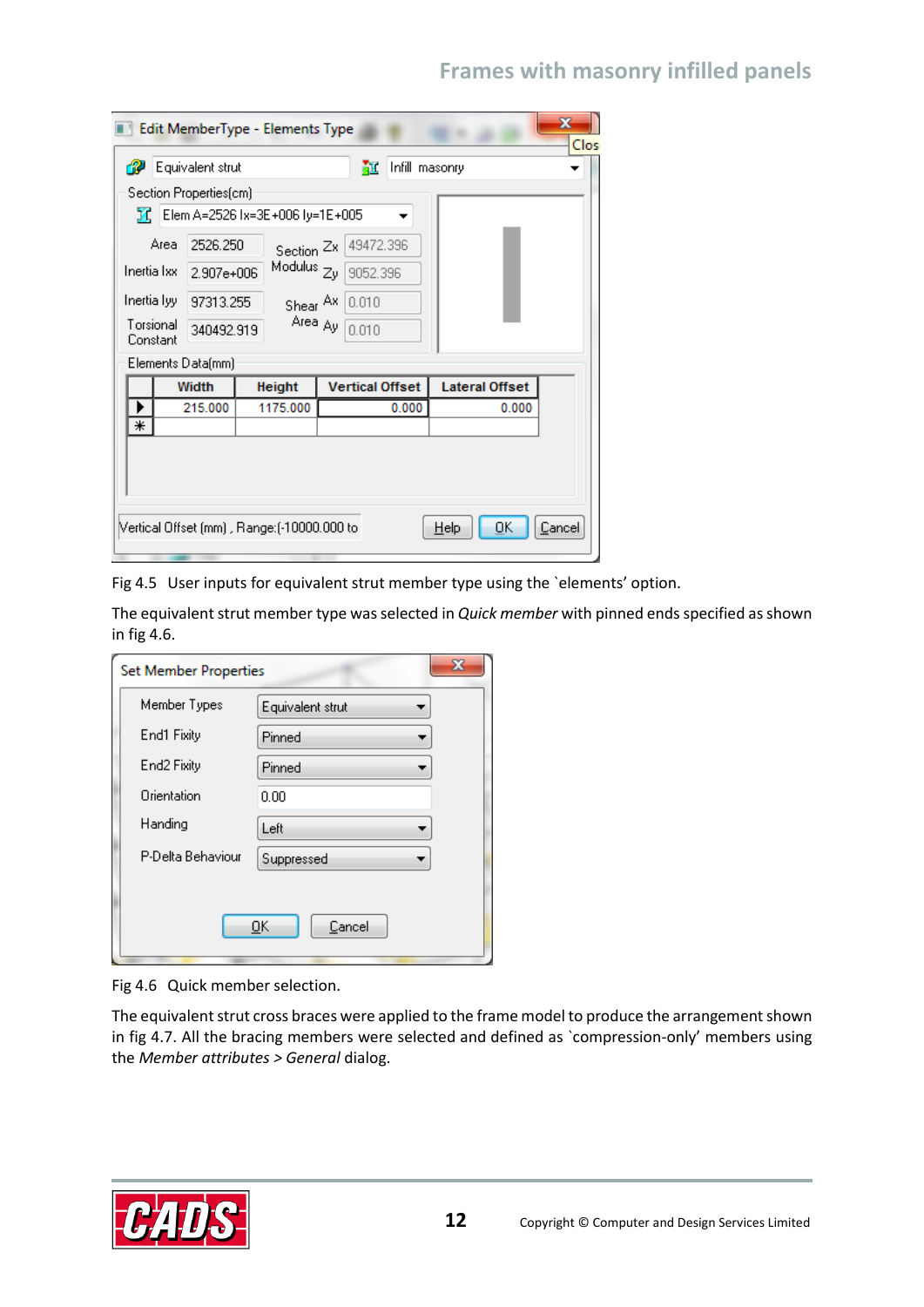|                                                                                                                                                                                                                                                                                  |  | Equivalent strut<br>Section Properties(cm)   |                                                |  | 証                      | Infill masonry |                                |        |
|----------------------------------------------------------------------------------------------------------------------------------------------------------------------------------------------------------------------------------------------------------------------------------|--|----------------------------------------------|------------------------------------------------|--|------------------------|----------------|--------------------------------|--------|
| $\chi$ C Elem A=2526 lx=3E+006 ly=1E+005<br>49472.396<br>2526.250<br>Area<br>Section <sup>Zx</sup><br>Modulus <sub>Zy</sub><br>Inertia Ixx<br>9052.396<br>2.907e+006<br>Inertia lyy<br>0.010<br>97313.255<br>Shear Ax<br>Area Ay<br>Torsional<br>0.010<br>340492.919<br>Constant |  |                                              |                                                |  |                        |                |                                |        |
|                                                                                                                                                                                                                                                                                  |  | Elements Data(mm)<br><b>Width</b><br>215.000 | Height<br>1175.000                             |  | <b>Vertical Offset</b> | 0.000          | <b>Lateral Offset</b><br>0.000 |        |
| ⋇                                                                                                                                                                                                                                                                                |  |                                              |                                                |  |                        |                |                                |        |
|                                                                                                                                                                                                                                                                                  |  |                                              | [10000.000 to] / Vertical Offset (mm) , Range: |  |                        |                | OΚ<br>Help                     | Cancel |

Fig 4.5 User inputs for equivalent strut member type using the `elements' option.

The equivalent strut member type was selected in *Quick member* with pinned ends specified as shown in fig 4.6.

| <b>Set Member Properties</b> | X                |
|------------------------------|------------------|
| Member Types                 | Equivalent strut |
| End1 Fixity                  | Pinned           |
| End2 Fixity                  | Pinned           |
| Orientation                  | 0.00             |
| Handing                      | Left             |
| P-Delta Behaviour            | Suppressed       |
|                              |                  |
|                              | Cancel<br>OK     |

Fig 4.6 Quick member selection.

The equivalent strut cross braces were applied to the frame model to produce the arrangement shown in fig 4.7. All the bracing members were selected and defined as `compression-only' members using the *Member attributes > General* dialog.

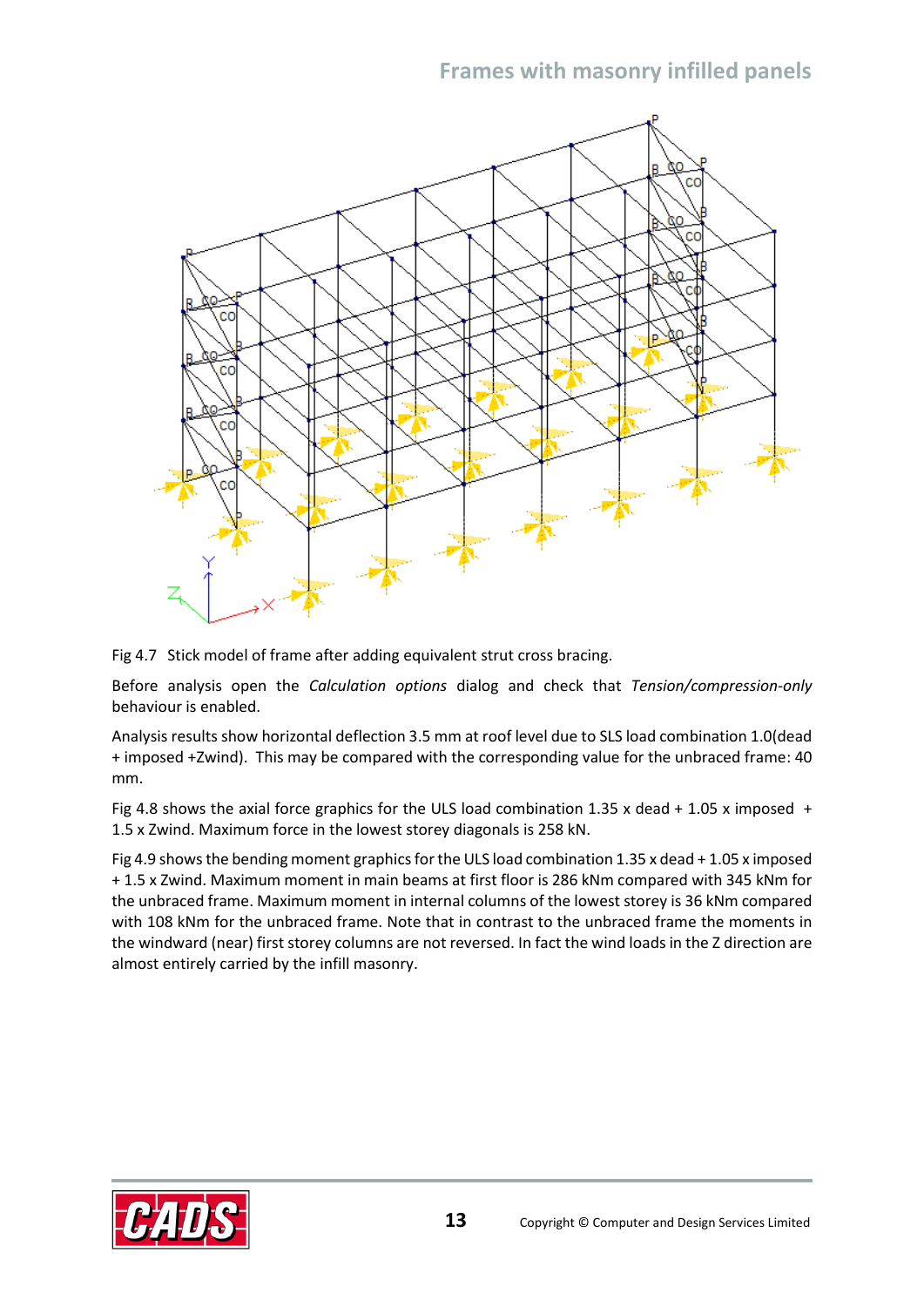

Fig 4.7 Stick model of frame after adding equivalent strut cross bracing.

Before analysis open the *Calculation options* dialog and check that *Tension/compression-only*  behaviour is enabled.

Analysis results show horizontal deflection 3.5 mm at roof level due to SLS load combination 1.0(dead + imposed +Zwind). This may be compared with the corresponding value for the unbraced frame: 40 mm.

Fig 4.8 shows the axial force graphics for the ULS load combination 1.35 x dead + 1.05 x imposed + 1.5 x Zwind. Maximum force in the lowest storey diagonals is 258 kN.

Fig 4.9 shows the bending moment graphics for the ULS load combination 1.35 x dead + 1.05 x imposed + 1.5 x Zwind. Maximum moment in main beams at first floor is 286 kNm compared with 345 kNm for the unbraced frame. Maximum moment in internal columns of the lowest storey is 36 kNm compared with 108 kNm for the unbraced frame. Note that in contrast to the unbraced frame the moments in the windward (near) first storey columns are not reversed. In fact the wind loads in the Z direction are almost entirely carried by the infill masonry.

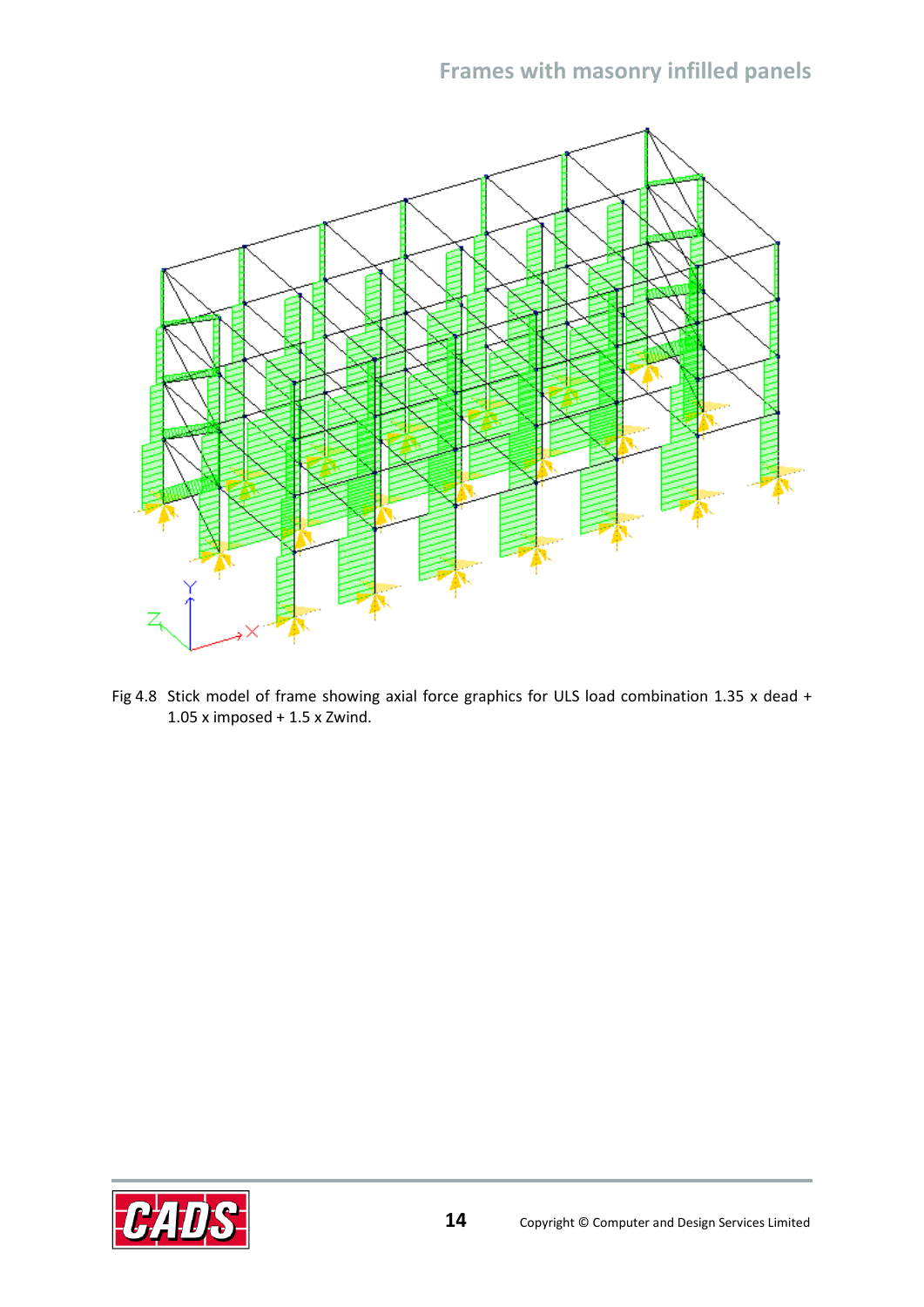

Fig 4.8 Stick model of frame showing axial force graphics for ULS load combination 1.35 x dead + 1.05 x imposed + 1.5 x Zwind.

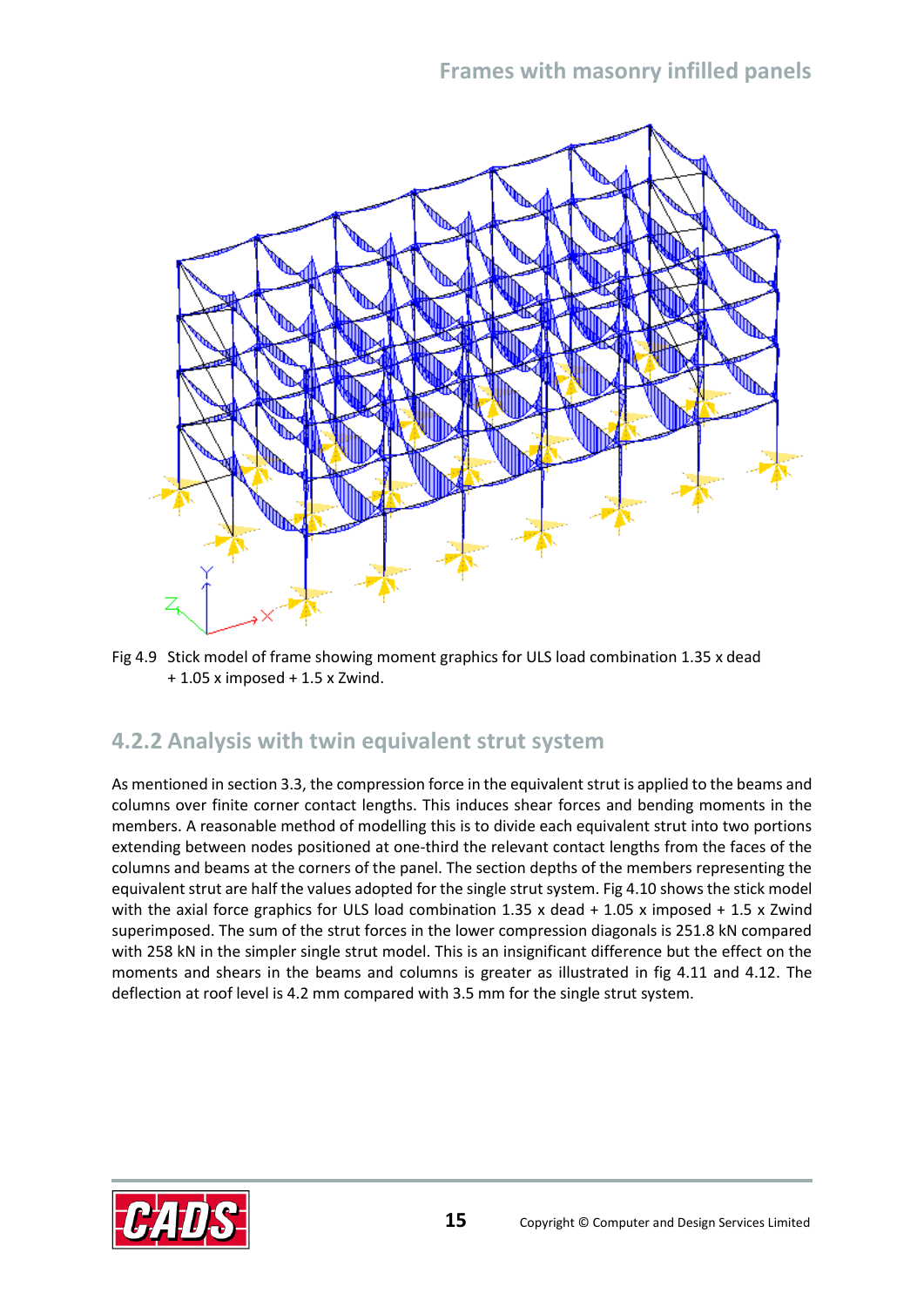

Fig 4.9 Stick model of frame showing moment graphics for ULS load combination 1.35 x dead + 1.05 x imposed + 1.5 x Zwind.

#### <span id="page-16-0"></span>**4.2.2 Analysis with twin equivalent strut system**

As mentioned in section 3.3, the compression force in the equivalent strut is applied to the beams and columns over finite corner contact lengths. This induces shear forces and bending moments in the members. A reasonable method of modelling this is to divide each equivalent strut into two portions extending between nodes positioned at one-third the relevant contact lengths from the faces of the columns and beams at the corners of the panel. The section depths of the members representing the equivalent strut are half the values adopted for the single strut system. Fig 4.10 shows the stick model with the axial force graphics for ULS load combination 1.35 x dead + 1.05 x imposed + 1.5 x Zwind superimposed. The sum of the strut forces in the lower compression diagonals is 251.8 kN compared with 258 kN in the simpler single strut model. This is an insignificant difference but the effect on the moments and shears in the beams and columns is greater as illustrated in fig 4.11 and 4.12. The deflection at roof level is 4.2 mm compared with 3.5 mm for the single strut system.

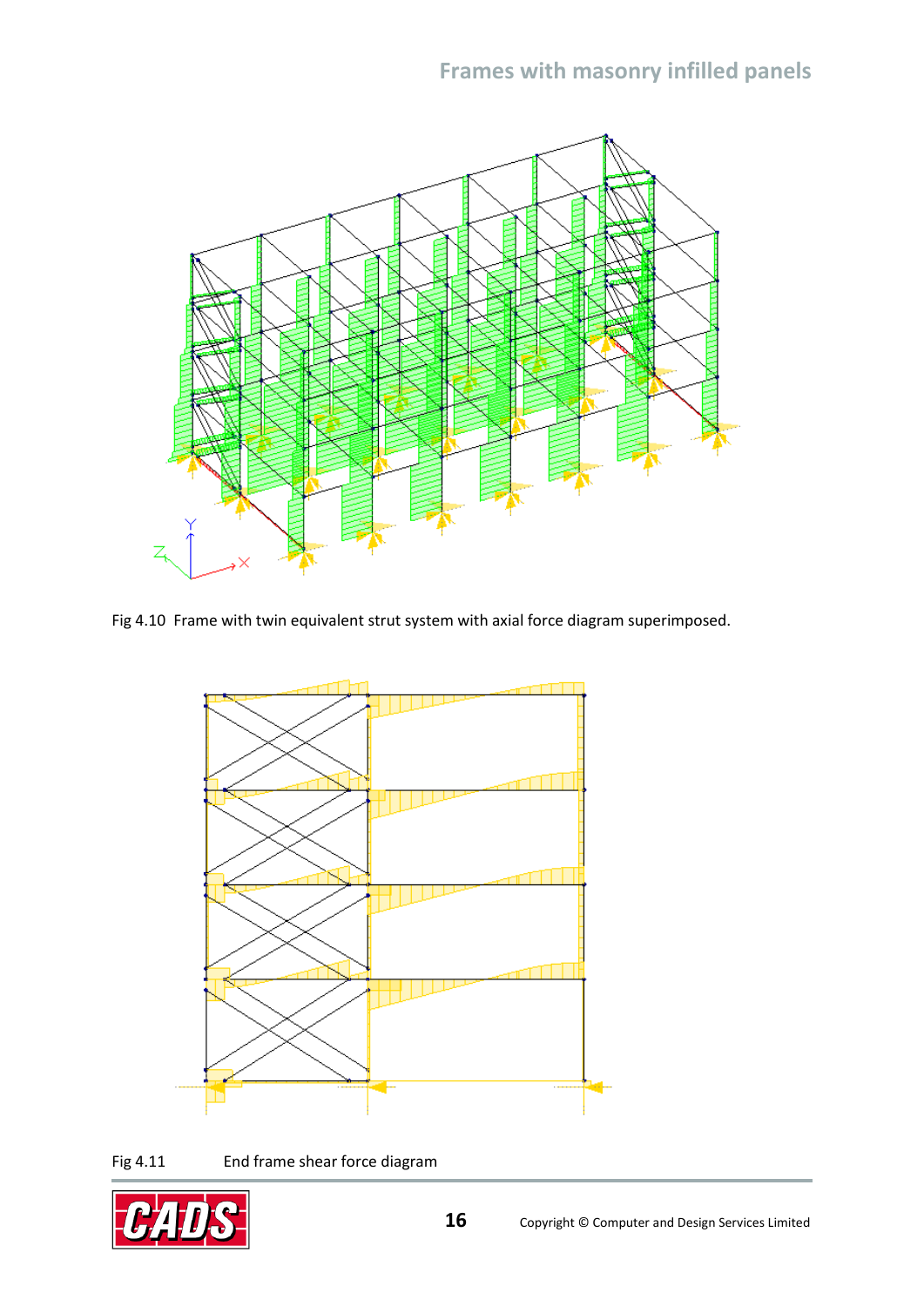

Fig 4.10 Frame with twin equivalent strut system with axial force diagram superimposed.



Fig 4.11 End frame shear force diagram

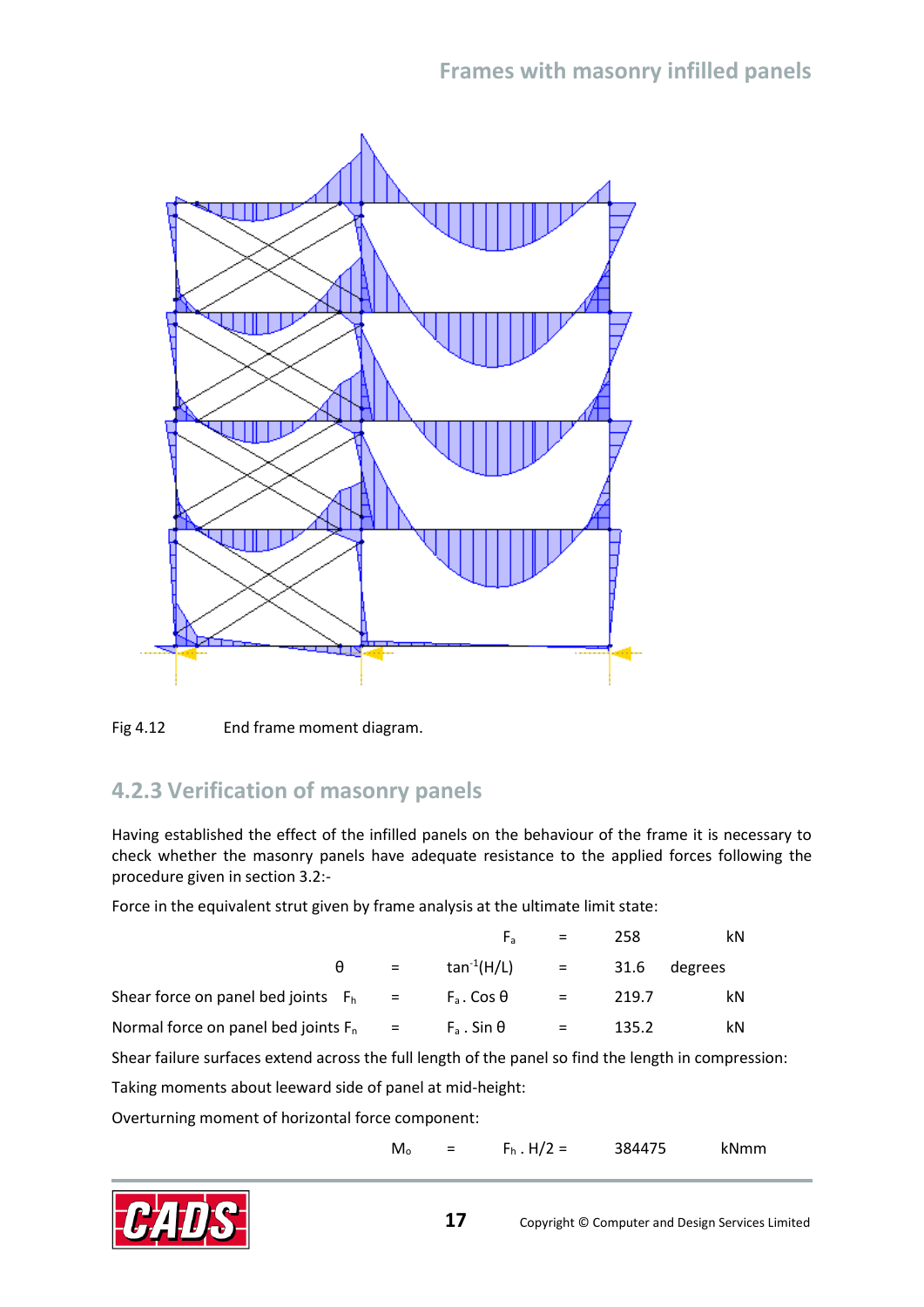

<span id="page-18-0"></span>

#### **4.2.3 Verification of masonry panels**

Having established the effect of the infilled panels on the behaviour of the frame it is necessary to check whether the masonry panels have adequate resistance to the applied forces following the procedure given in section 3.2:-

Force in the equivalent strut given by frame analysis at the ultimate limit state:

|                                          | $F_{\rm a}$             | $\mathbf{r} = \mathbf{r}$ | 258              | kN |
|------------------------------------------|-------------------------|---------------------------|------------------|----|
| $\theta =$                               | tan <sup>-1</sup> (H/L) |                           | $=$ 31.6 degrees |    |
| Shear force on panel bed joints $F_h$ =  | $F_a$ . Cos $\theta$    | $=$                       | 219.7            | kN |
| Normal force on panel bed joints $F_n =$ | $F_a$ . Sin $\theta$    | $=$                       | 135.2            | kN |

Shear failure surfaces extend across the full length of the panel so find the length in compression:

Taking moments about leeward side of panel at mid-height:

Overturning moment of horizontal force component:

 $M_0$  =  $F_h$ . H/2 = 384475 kNmm

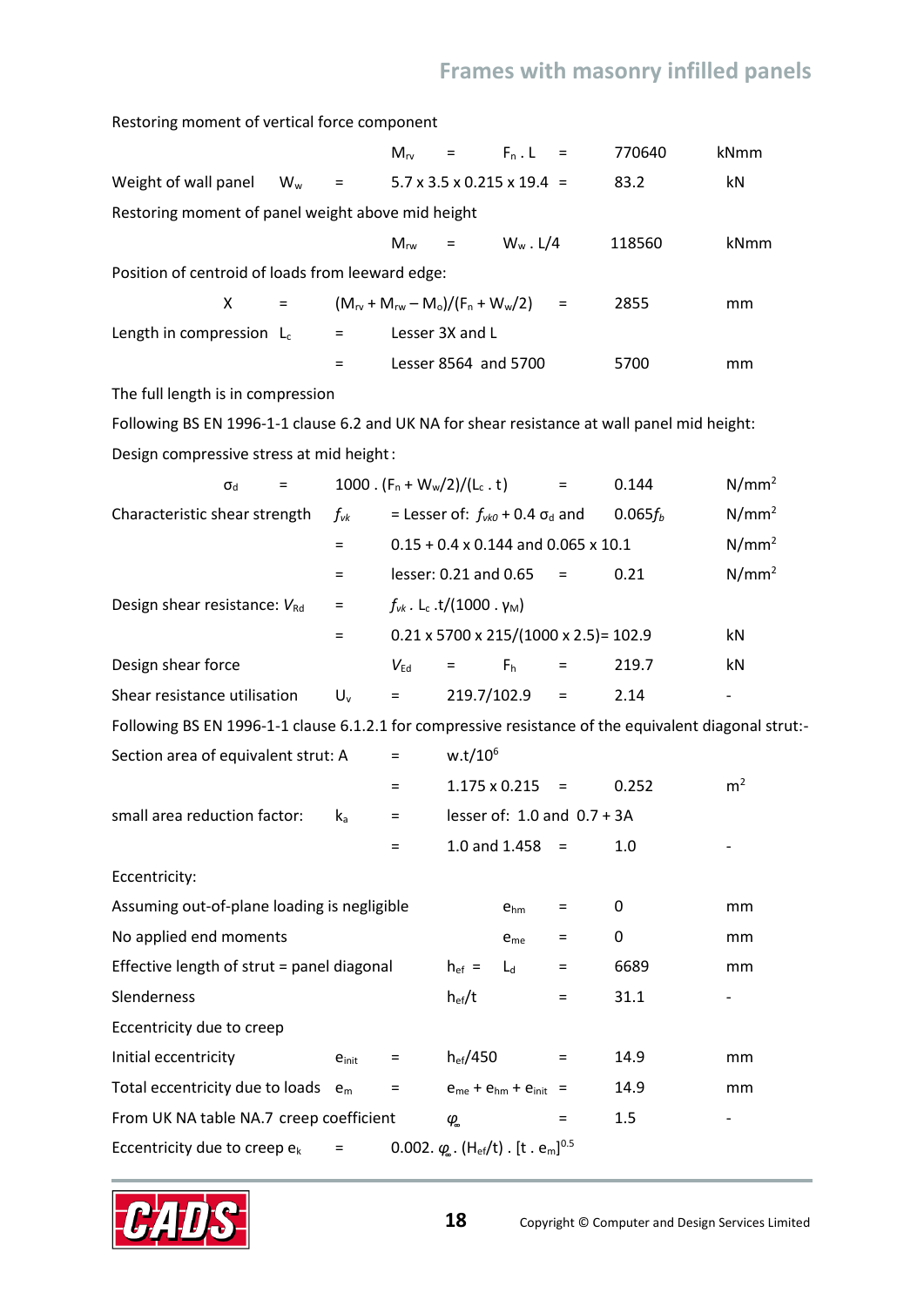Restoring moment of vertical force component

|                                                   |       |                           |                                                                                    | $M_{rv}$ = $F_n \cdot L =$                  |             |  | 770640 | kNmm |
|---------------------------------------------------|-------|---------------------------|------------------------------------------------------------------------------------|---------------------------------------------|-------------|--|--------|------|
| Weight of wall panel                              | $W_w$ | $\sim$ $=$                |                                                                                    | $5.7 \times 3.5 \times 0.215 \times 19.4 =$ |             |  | 83.2   | kN   |
| Restoring moment of panel weight above mid height |       |                           |                                                                                    |                                             |             |  |        |      |
|                                                   |       |                           | $M_{\rm rw}$                                                                       | <b>Service</b> Service                      | $W_w$ . L/4 |  | 118560 | kNmm |
| Position of centroid of loads from leeward edge:  |       |                           |                                                                                    |                                             |             |  |        |      |
| X                                                 | $=$   |                           | $(M_{\text{rv}} + M_{\text{rw}} - M_{\text{o}})/(F_{\text{n}} + W_{\text{w}}/2)$ = |                                             |             |  | 2855   | mm   |
| Length in compression $L_c$                       |       | $\mathbf{r} = \mathbf{r}$ |                                                                                    | Lesser 3X and L                             |             |  |        |      |
|                                                   |       |                           |                                                                                    | Lesser 8564 and 5700                        |             |  | 5700   | mm   |
|                                                   |       |                           |                                                                                    |                                             |             |  |        |      |

The full length is in compression

Following BS EN 1996-1-1 clause 6.2 and UK NA for shear resistance at wall panel mid height: Design compressive stress at mid height:

| $\sigma_{\text{d}}$<br>$=$                                                                            |                            | 1000. $(F_n + W_w/2)/(L_c \tcdot t)$ |                                                                                      |                                | $=$                             | 0.144        | N/mm <sup>2</sup> |
|-------------------------------------------------------------------------------------------------------|----------------------------|--------------------------------------|--------------------------------------------------------------------------------------|--------------------------------|---------------------------------|--------------|-------------------|
| Characteristic shear strength                                                                         | $f_{\mathsf{v}\mathsf{k}}$ |                                      | = Lesser of: $f_{\nu k0}$ + 0.4 $\sigma_d$ and                                       |                                |                                 | $0.065f_{b}$ | N/mm <sup>2</sup> |
|                                                                                                       | $\equiv$                   |                                      | $0.15 + 0.4 \times 0.144$ and 0.065 x 10.1                                           |                                |                                 |              | $N/mm^2$          |
|                                                                                                       | Ξ                          |                                      | lesser: 0.21 and 0.65                                                                |                                | $=$                             | 0.21         | $N/mm^2$          |
| Design shear resistance: VRd                                                                          | $\equiv$                   |                                      | $f_{vk}$ . L <sub>c</sub> .t/(1000.γ <sub>M</sub> )                                  |                                |                                 |              |                   |
|                                                                                                       | $\equiv$                   |                                      | $0.21 \times 5700 \times 215/(1000 \times 2.5) = 102.9$                              |                                |                                 |              | kN                |
| Design shear force                                                                                    |                            | $V_{\text{Ed}}$                      | $=$                                                                                  | F <sub>h</sub>                 | $=$                             | 219.7        | kN                |
| Shear resistance utilisation                                                                          | $U_v$                      | $=$                                  | 219.7/102.9                                                                          |                                | $\quad \  \  =$                 | 2.14         |                   |
| Following BS EN 1996-1-1 clause 6.1.2.1 for compressive resistance of the equivalent diagonal strut:- |                            |                                      |                                                                                      |                                |                                 |              |                   |
| Section area of equivalent strut: A                                                                   |                            | Ξ                                    | $w.t/10^6$                                                                           |                                |                                 |              |                   |
|                                                                                                       |                            | $\equiv$                             | 1.175 x 0.215                                                                        |                                | $=$                             | 0.252        | m <sup>2</sup>    |
| small area reduction factor:                                                                          | $k_a$                      | $\equiv$                             |                                                                                      |                                | lesser of: $1.0$ and $0.7 + 3A$ |              |                   |
|                                                                                                       |                            | $=$                                  |                                                                                      | 1.0 and $1.458 =$              |                                 | 1.0          |                   |
| Eccentricity:                                                                                         |                            |                                      |                                                                                      |                                |                                 |              |                   |
| Assuming out-of-plane loading is negligible                                                           |                            |                                      |                                                                                      | $e_{hm}$                       | $=$                             | 0            | mm                |
| No applied end moments                                                                                |                            |                                      |                                                                                      | $e_{me}$                       | $=$                             | 0            | mm                |
| Effective length of strut = panel diagonal                                                            |                            |                                      | $h_{ef}$ =                                                                           | $L_d$                          | $=$                             | 6689         | mm                |
| Slenderness                                                                                           |                            |                                      | $h_{ef}/t$                                                                           |                                | $=$                             | 31.1         |                   |
| Eccentricity due to creep                                                                             |                            |                                      |                                                                                      |                                |                                 |              |                   |
| Initial eccentricity                                                                                  | $e_{\text{init}}$          | $=$                                  | $h_{ef}/450$                                                                         |                                | $\equiv$                        | 14.9         | mm                |
| Total eccentricity due to loads $e_m$                                                                 |                            | $\qquad \qquad =$                    |                                                                                      | $e_{me} + e_{hm} + e_{init}$ = |                                 | 14.9         | mm                |
| From UK NA table NA.7 creep coefficient                                                               |                            |                                      | $\varphi$                                                                            |                                | $=$                             | 1.5          | -                 |
| Eccentricity due to creep e <sub>k</sub>                                                              | $=$                        |                                      | 0.002. $\varphi_{\rm s}$ . (H <sub>ef</sub> /t). [t. e <sub>m</sub> ] <sup>0.5</sup> |                                |                                 |              |                   |

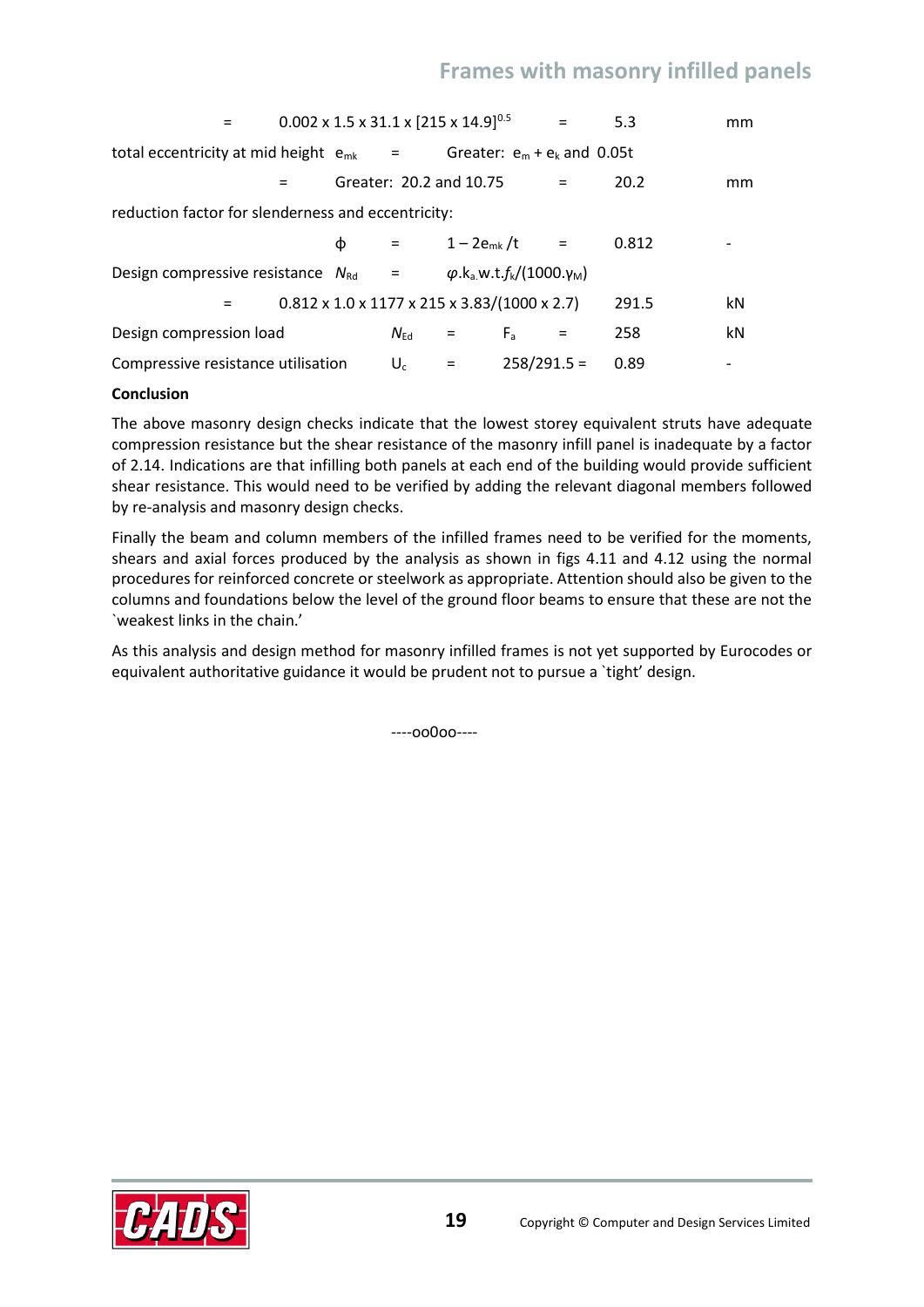| $=$                                                                                                                  |   | $0.002 \times 1.5 \times 31.1 \times [215 \times 14.9]^{0.5}$           |            |                                | $=$ | 5.3   | mm |
|----------------------------------------------------------------------------------------------------------------------|---|-------------------------------------------------------------------------|------------|--------------------------------|-----|-------|----|
| total eccentricity at mid height $e_{mk}$ =                                                                          |   |                                                                         |            | Greater: $e_m + e_k$ and 0.05t |     |       |    |
|                                                                                                                      |   | Greater: 20.2 and 10.75                                                 |            |                                | $=$ | 20.2  | mm |
| reduction factor for slenderness and eccentricity:                                                                   |   |                                                                         |            |                                |     |       |    |
|                                                                                                                      | ф | $=$ $\sim$                                                              |            | $1 - 2e_{mk}/t =$              |     | 0.812 |    |
| Design compressive resistance $N_{\text{Rd}} = \varphi \cdot k_a \cdot \pi \cdot f_k/(1000 \cdot \gamma_{\text{M}})$ |   |                                                                         |            |                                |     |       |    |
| $=$                                                                                                                  |   | $0.812 \times 1.0 \times 1177 \times 215 \times 3.83/(1000 \times 2.7)$ |            |                                |     | 291.5 | kN |
| Design compression load                                                                                              |   | $N_{\rm Ed}$                                                            | $=$ $\sim$ | $F_{a}$                        | $=$ | 258   | kN |
| Compressive resistance utilisation                                                                                   |   | $U_c$                                                                   | $=$        | $258/291.5 =$                  |     | 0.89  |    |

#### **Conclusion**

The above masonry design checks indicate that the lowest storey equivalent struts have adequate compression resistance but the shear resistance of the masonry infill panel is inadequate by a factor of 2.14. Indications are that infilling both panels at each end of the building would provide sufficient shear resistance. This would need to be verified by adding the relevant diagonal members followed by re-analysis and masonry design checks.

Finally the beam and column members of the infilled frames need to be verified for the moments, shears and axial forces produced by the analysis as shown in figs 4.11 and 4.12 using the normal procedures for reinforced concrete or steelwork as appropriate. Attention should also be given to the columns and foundations below the level of the ground floor beams to ensure that these are not the `weakest links in the chain.'

As this analysis and design method for masonry infilled frames is not yet supported by Eurocodes or equivalent authoritative guidance it would be prudent not to pursue a `tight' design.

----oo0oo----